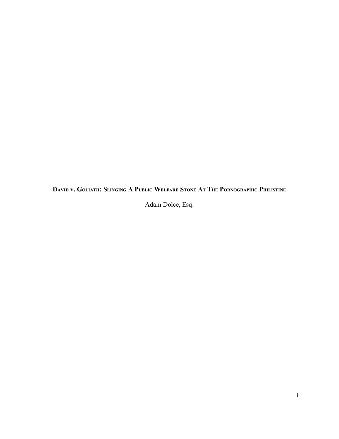DAVID V. GOLIATH: SLINGING A PUBLIC WELFARE STONE AT THE PORNOGRAPHIC PHILISTINE

Adam Dolce, Esq.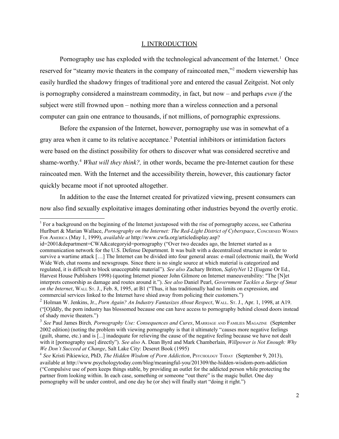#### I. INTRODUCTION

Pornography use has exploded with the technological advancement of the Internet.<sup>[1](#page-1-0)</sup> Once reserved for "steamy movie theaters in the company of raincoated men,"<sup>[2](#page-1-1)</sup> modern viewership has easily hurdled the shadowy fringes of traditional yore and entered the casual Zeitgeist. Not only is pornography considered a mainstream commodity, in fact, but now – and perhaps *even if* the subject were still frowned upon – nothing more than a wireless connection and a personal computer can gain one entrance to thousands, if not millions, of pornographic expressions.

Before the expansion of the Internet, however, pornography use was in somewhat of a gray area when it came to its relative acceptance.<sup>[3](#page-1-2)</sup> Potential inhibitors or intimidation factors were based on the distinct possibility for others to discover what was considered secretive and shame-worthy.[4](#page-1-3) *What will they think?,* in other words, became the pre-Internet caution for these raincoated men. With the Internet and the accessibility therein, however, this cautionary factor quickly became moot if not uprooted altogether.

In addition to the ease the Internet created for privatized viewing, present consumers can now also find sexually exploitative images dominating other industries beyond the overtly erotic.

<span id="page-1-0"></span> $1$  For a background on the beginning of the Internet juxtaposed with the rise of pornography access, see Catherina Hurlburt & Marian Wallace, *Pornography on the Internet: The Red-Light District of Cyberspace*, CONCERNED WOMEN FOR AMERICA (May 1, 1999), *available at* http://www.cwfa.org/articledisplay.asp?

id=2001&department=CWA&categoryid=pornography ("Over two decades ago, the Internet started as a communication network for the U.S. Defense Department. It was built with a decentralized structure in order to survive a wartime attack […] The Internet can be divided into four general areas: e-mail (electronic mail), the World Wide Web, chat rooms and newsgroups. Since there is no single source at which material is categorized and regulated, it is difficult to block unacceptable material"). *See also* Zachary Britton, *SafetyNet* 12 (Eugene Or Ed., Harvest House Publishers 1998) (quoting Internet pioneer John Gilmore on Internet maneuverability: "The [N]et interprets censorship as damage and routes around it."). *See also* Daniel Pearl, *Government Tackles a Surge of Smut on the Internet*, WALL ST. J., Feb. 8, 1995, at B1 ("Thus, it has traditionally had no limits on expression, and commercial services linked to the Internet have shied away from policing their customers.")

<span id="page-1-1"></span><sup>2</sup> Holman W. Jenkins, Jr., *Porn Again? An Industry Fantasizes About Respect*, WALL. ST. J., Apr. 1, 1998, at A19. ("[O]ddly, the porn industry has blossomed because one can have access to pornography behind closed doors instead of shady movie theaters.")

<span id="page-1-2"></span><sup>3</sup> *See* Paul James Birch*, Pornography Use: Consequences and Cures*, MARRIAGE AND FAMILIES MAGAZINE (September 2002 edition) (noting the problem with viewing pornography is that it ultimately "causes more negative feelings (guilt, shame, etc.) and is [...] inadequate for relieving the cause of the negative feeling because we have not dealt with it [pornography use] directly"). *See also* A. Dean Byrd and Mark Chamberlain, *Willpower is Not Enough: Why We Don't Succeed at Change*, Salt Lake City: Deseret Book (1995)

<span id="page-1-3"></span><sup>4</sup> *See* Kristi Pikiewicz, PhD, *The Hidden Wisdom of Porn Addiction*, PSYCHOLOGY TODAY (September 9, 2013), available at http://www.psychologytoday.com/blog/meaningful-you/201309/the-hidden-wisdom-porn-addiction ("Compulsive use of porn keeps things stable, by providing an outlet for the addicted person while protecting the partner from looking within. In each case, something or someone "out there" is the magic bullet. One day pornography will be under control, and one day he (or she) will finally start "doing it right.")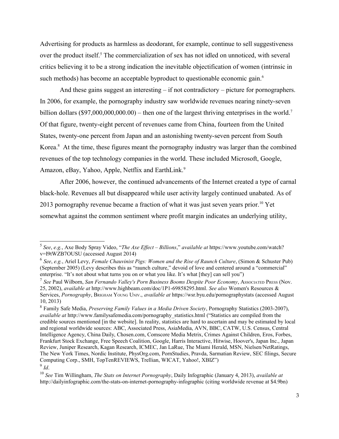Advertising for products as harmless as deodorant, for example, continue to sell suggestiveness over the product itself.<sup>[5](#page-2-0)</sup> The commercialization of sex has not idled on unnoticed, with several critics believing it to be a strong indication the inevitable objectification of women (intrinsic in such methods) has become an acceptable byproduct to questionable economic gain.<sup>[6](#page-2-1)</sup>

And these gains suggest an interesting – if not contradictory – picture for pornographers. In 2006, for example, the pornography industry saw worldwide revenues nearing ninety-seven billion dollars (\$9[7](#page-2-2),000,000,000.00) – then one of the largest thriving enterprises in the world.<sup>7</sup> Of that figure, twenty-eight percent of revenues came from China, fourteen from the United States, twenty-one percent from Japan and an astonishing twenty-seven percent from South Korea. $8$  At the time, these figures meant the pornography industry was larger than the combined revenues of the top technology companies in the world. These included Microsoft, Google, Amazon, eBay, Yahoo, Apple, Netflix and EarthLink.<sup>[9](#page-2-4)</sup>

After 2006, however, the continued advancements of the Internet created a type of carnal black-hole. Revenues all but disappeared while user activity largely continued unabated. As of 2013 pornography revenue became a fraction of what it was just seven vears prior.<sup>[10](#page-2-5)</sup> Yet somewhat against the common sentiment where profit margin indicates an underlying utility,

<span id="page-2-0"></span><sup>5</sup> *See*, *e.g.*, Axe Body Spray Video, "*The Axe Effect – Billions*," *available at* https://www.youtube.com/watch? v=I9tWZB7OUSU (accessed August 2014)

<span id="page-2-1"></span><sup>6</sup> *See*, *e.g.*, Ariel Levy, *Female Chauvinist Pigs: Women and the Rise of Raunch Culture*, (Simon & Schuster Pub) (September 2005) (Levy describes this as "raunch culture," devoid of love and centered around a "commercial" enterprise. "It's not about what turns you on or what you like. It's what [they] can sell you")

<span id="page-2-2"></span><sup>&</sup>lt;sup>7</sup> See Paul Wilborn, *San Fernando Valley's Porn Business Booms Despite Poor Economy*, Associated Press (Nov. 25, 2002), *available at* http://www.highbeam.com/doc/1P1-69858295.html. *See also* Women's Resources & Services, *Pornography*, BRIGHAM YOUNG UNIV., *available at* https://wsr.byu.edu/pornographystats (accessed August 10, 2013)

<span id="page-2-3"></span><sup>8</sup> Family Safe Media, *Preserving Family Values in a Media Driven Society*, Pornography Statistics (2003-2007), *available at* http://www.familysafemedia.com/pornography\_statistics.html ("Statistics are compiled from the credible sources mentioned [in the website]. In reality, statistics are hard to ascertain and may be estimated by local and regional worldwide sources: ABC, Associated Press, AsiaMedia, AVN, BBC, CATW, U.S. Census, Central Intelligence Agency, China Daily, Chosen.com, Comscore Media Metrix, Crimes Against Children, Eros, Forbes, Frankfurt Stock Exchange, Free Speech Coalition, Google, Harris Interactive, Hitwise, Hoover's, Japan Inc., Japan Review, Juniper Research, Kagan Research, ICMEC, Jan LaRue, The Miami Herald, MSN, Nielsen/NetRatings, The New York Times, Nordic Institute, PhysOrg.com, PornStudies, Pravda, Sarmatian Review, SEC filings, Secure Computing Corp., SMH, TopTenREVIEWS, Trellian, WICAT, Yahoo!, XBIZ")

<span id="page-2-4"></span><sup>9</sup> *Id*.

<span id="page-2-5"></span><sup>10</sup> *See* Tim Willingham, *The Stats on Internet Pornography*, Daily Infographic (January 4, 2013), *available at* http://dailyinfographic.com/the-stats-on-internet-pornography-infographic (citing worldwide revenue at \$4.9bn)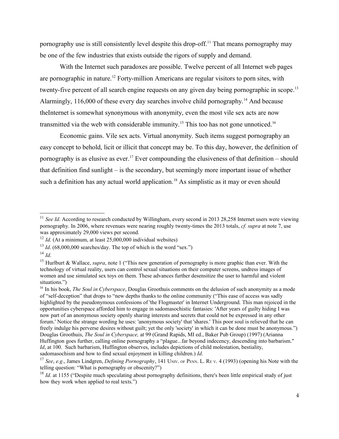pornography use is still consistently level despite this drop-off.<sup>[11](#page-3-0)</sup> That means pornography may be one of the few industries that exists outside the rigors of supply and demand.

With the Internet such paradoxes are possible. Twelve percent of all Internet web pages are pornographic in nature.<sup>[12](#page-3-1)</sup> Forty-million Americans are regular visitors to porn sites, with twenty-five percent of all search engine requests on any given day being pornographic in scope.<sup>[13](#page-3-2)</sup> Alarmingly, 116,000 of these every day searches involve child pornography.<sup>[14](#page-3-3)</sup> And because theInternet is somewhat synonymous with anonymity, even the most vile sex acts are now transmitted via the web with considerable immunity.<sup>[15](#page-3-4)</sup> This too has not gone unnoticed.<sup>[16](#page-3-5)</sup>

Economic gains. Vile sex acts. Virtual anonymity. Such items suggest pornography an easy concept to behold, licit or illicit that concept may be. To this day, however, the definition of pornography is as elusive as ever.<sup>[17](#page-3-6)</sup> Ever compounding the elusiveness of that definition – should that definition find sunlight – is the secondary, but seemingly more important issue of whether such a definition has any actual world application.<sup>[18](#page-3-7)</sup> As simplistic as it may or even should

<span id="page-3-0"></span><sup>&</sup>lt;sup>11</sup> *See Id.* According to research conducted by Willingham, every second in 2013 28,258 Internet users were viewing pornography. In 2006, where revenues were nearing roughly twenty-times the 2013 totals, *cf. supra* at note 7, use was approximately 29,000 views per second.

<span id="page-3-1"></span><sup>&</sup>lt;sup>12</sup> *Id.* (At a minimum, at least 25,000,000 individual websites)

<span id="page-3-2"></span> $13$  *Id.* (68,000,000 searches/day. The top of which is the word "sex.")

<span id="page-3-3"></span><sup>14</sup> *Id*.

<span id="page-3-4"></span><sup>15</sup> Hurlburt & Wallace, *supra*, note 1 ("This new generation of pornography is more graphic than ever. With the technology of virtual reality, users can control sexual situations on their computer screens, undress images of women and use simulated sex toys on them. These advances further desensitize the user to harmful and violent situations.")

<span id="page-3-5"></span><sup>16</sup> In his book, *The Soul in Cyberspace*, Douglas Groothuis comments on the delusion of such anonymity as a mode of "self-deception" that drops to "new depths thanks to the online community ("This ease of access was sadly highlighted by the pseudonymous confessions of 'the Flogmaster' in Internet Underground. This man rejoiced in the opportunities cyberspace afforded him to engage in sadomasochistic fantasies: 'After years of guilty hiding I was now part of an anonymous society openly sharing interests and secrets that could not be expressed in any other forum.' Notice the strange wording he uses: 'anonymous society' that 'shares.' This poor soul is relieved that he can freely indulge his perverse desires without guilt; yet the only 'society' in which it can be done must be anonymous.") Douglas Groothuis, *The Soul in Cyberspace,* at 99 (Grand Rapids, MI ed., Baker Pub Group) (1997) (Arianna Huffington goes further, calling online pornography a "plague...far beyond indecency, descending into barbarism." *Id*, at 100. Such barbarism, Huffington observes, includes depictions of child molestation, bestiality, sadomasochism and how to find sexual enjoyment in killing children.) *Id*.

<span id="page-3-6"></span><sup>&</sup>lt;sup>17</sup> *See*, *e.g.*, James Lindgren, *Defining Pornography*, 141 UNIV. OF PENN. L. RE V. 4 (1993) (opening his Note with the telling question: "What is pornography or obscenity?")

<span id="page-3-7"></span><sup>&</sup>lt;sup>18</sup> *Id.* at 1155 ("Despite much speculating about pornography definitions, there's been little empirical study of just how they work when applied to real texts.")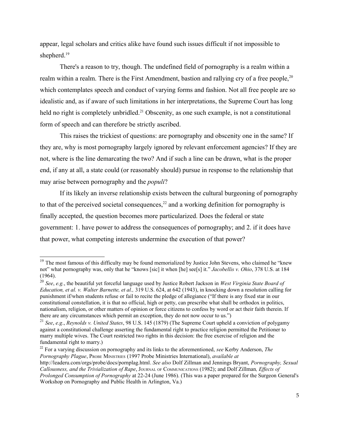appear, legal scholars and critics alike have found such issues difficult if not impossible to shepherd.<sup>[19](#page-4-0)</sup>

There's a reason to try, though. The undefined field of pornography is a realm within a realm within a realm. There is the First Amendment, bastion and rallying cry of a free people,<sup>[20](#page-4-1)</sup> which contemplates speech and conduct of varying forms and fashion. Not all free people are so idealistic and, as if aware of such limitations in her interpretations, the Supreme Court has long held no right is completely unbridled.<sup>[21](#page-4-2)</sup> Obscenity, as one such example, is not a constitutional form of speech and can therefore be strictly ascribed.

This raises the trickiest of questions: are pornography and obscenity one in the same? If they are, why is most pornography largely ignored by relevant enforcement agencies? If they are not, where is the line demarcating the two? And if such a line can be drawn, what is the proper end, if any at all, a state could (or reasonably should) pursue in response to the relationship that may arise between pornography and the *populi*?

If its likely an inverse relationship exists between the cultural burgeoning of pornography to that of the perceived societal consequences,<sup>[22](#page-4-3)</sup> and a working definition for pornography is finally accepted, the question becomes more particularized. Does the federal or state government: 1. have power to address the consequences of pornography; and 2. if it does have that power, what competing interests undermine the execution of that power?

<span id="page-4-0"></span><sup>&</sup>lt;sup>19</sup> The most famous of this difficulty may be found memorialized by Justice John Stevens, who claimed he "knew not" what pornography was, only that he "knows [sic] it when [he] see[s] it." *Jacobellis v. Ohio*, 378 U.S. at 184 (1964).

<span id="page-4-1"></span><sup>20</sup> *See*, *e.g.*, the beautiful yet forceful language used by Justice Robert Jackson in *West Virginia State Board of Education, et al. v. Walter Barnette, et al.,* 319 U.S. 624, at 642 (1943), in knocking down a resolution calling for punishment if/when students refuse or fail to recite the pledge of allegiance ("If there is any fixed star in our constitutional constellation, it is that no official, high or petty, can prescribe what shall be orthodox in politics, nationalism, religion, or other matters of opinion or force citizens to confess by word or act their faith therein. If there are any circumstances which permit an exception, they do not now occur to us.")

<span id="page-4-2"></span><sup>21</sup> *See*, *e.g*., *Reynolds v. United States*, 98 U.S. 145 (1879) (The Supreme Court upheld a conviction of polygamy against a constitutional challenge asserting the fundamental right to practice religion permitted the Petitioner to marry multiple wives. The Court restricted two rights in this decision: the free exercise of religion and the fundamental right to marry.)

<span id="page-4-3"></span><sup>22</sup> For a varying discussion on pornography and its links to the aforementioned, *see* Kerby Anderson, *The Pornography Plague*, PROBE MINISTRIES (1997 Probe Ministries International), *available at*

http://leaderu.com/orgs/probe/docs/pornplag.html. *See also* Dolf Zillman and Jennings Bryant, *Pornography, Sexual Callousness, and the Trivialization of Rape*, JOURNAL OF COMMUNICATIONS (1982); and Dolf Zillman*, Effects of Prolonged Consumption of Pornography* at 22-24 (June 1986). (This was a paper prepared for the Surgeon General's Workshop on Pornography and Public Health in Arlington, Va.)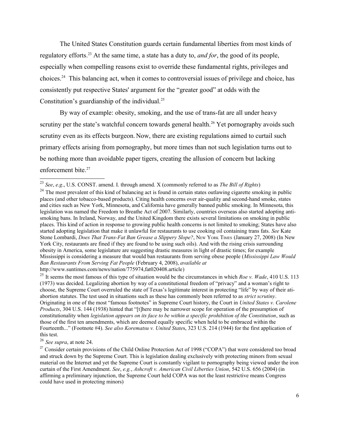The United States Constitution guards certain fundamental liberties from most kinds of regulatory efforts.[23](#page-5-0) At the same time, a state has a duty to, *and for*, the good of its people, especially when compelling reasons exist to override these fundamental rights, privileges and choices.[24](#page-5-1) This balancing act, when it comes to controversial issues of privilege and choice, has consistently put respective States' argument for the "greater good" at odds with the Constitution's guardianship of the individual. $^{25}$  $^{25}$  $^{25}$ 

By way of example: obesity, smoking, and the use of trans-fat are all under heavy scrutiny per the state's watchful concern towards general health.<sup>[26](#page-5-3)</sup> Yet pornography avoids such scrutiny even as its effects burgeon. Now, there are existing regulations aimed to curtail such primary effects arising from pornography, but more times than not such legislation turns out to be nothing more than avoidable paper tigers, creating the allusion of concern but lacking enforcement bite. [27](#page-5-4)

<span id="page-5-0"></span><sup>23</sup> *See*, *e.g*., U.S. CONST. amend. I. through amend. X (commonly referred to as *The Bill of Rights*)

<span id="page-5-1"></span><sup>&</sup>lt;sup>24</sup> The most prevalent of this kind of balancing act is found in certain states outlawing cigarette smoking in public places (and other tobacco-based products). Citing health concerns over air-quality and second-hand smoke, states and cities such as New York, Minnesota, and California have generally banned public smoking. In Minnesota, this legislation was named the Freedom to Breathe Act of 2007. Similarly, countries overseas also started adopting antismoking bans. In Ireland, Norway, and the United Kingdom there exists several limitations on smoking in public places. This kind of action in response to growing public health concerns is not limited to smoking; States have also started adopting legislation that make it unlawful for restaurants to use cooking oil containing trans fats. *See* Kate Stone Lombardi, *Does That Trans-Fat Ban Grease a Slippery Slope?*, New York TIMES (January 27, 2008) (In New York City, restaurants are fined if they are found to be using such oils). And with the rising crisis surrounding obesity in America, some legislature are suggesting drastic measures in light of drastic times; for example Mississippi is considering a measure that would ban restaurants from serving obese people (*Mississippi Law Would Ban Restaurants From Serving Fat People* (February 4, 2008), *available at* http://www.suntimes.com/news/nation/775974,fat020408.article)

<span id="page-5-2"></span><sup>25</sup> It seems the most famous of this type of situation would be the circumstances in which *Roe v. Wade*, 410 U.S. 113 (1973) was decided. Legalizing abortion by way of a constitutional freedom of "privacy" and a woman's right to choose, the Supreme Court overruled the state of Texas's legitimate interest in protecting "life" by way of their atiabortion statutes. The test used in situations such as these has commonly been referred to as *strict scrutiny*. Originating in one of the most "famous footnotes" in Supreme Court history, the Court in *United States v. Carolene Products*, 304 U.S. 144 (1938) hinted that "[t]here may be narrower scope for operation of the presumption of constitutionality when *legislation appears on its face to be within a specific prohibition of the Constitution*, such as those of the first ten amendments, which are deemed equally specific when held to be embraced within the Fourteenth..." (Footnote #4). *See also Korematsu v. United State*s, 323 U.S. 214 (1944) for the first application of this test.

<span id="page-5-3"></span><sup>26</sup> *See supra*, at note 24.

<span id="page-5-4"></span><sup>&</sup>lt;sup>27</sup> Consider certain provisions of the Child Online Protection Act of 1998 ("COPA") that were considered too broad and struck down by the Supreme Court. This is legislation dealing exclusively with protecting minors from sexual material on the Internet and yet the Supreme Court is constantly vigilant to pornography being viewed under the iron curtain of the First Amendment. *See*, *e.g.*, *Ashcroft v. American Civil Liberties Union*, 542 U.S. 656 (2004) (in affirming a preliminary injunction, the Supreme Court held COPA was not the least restrictive means Congress could have used in protecting minors)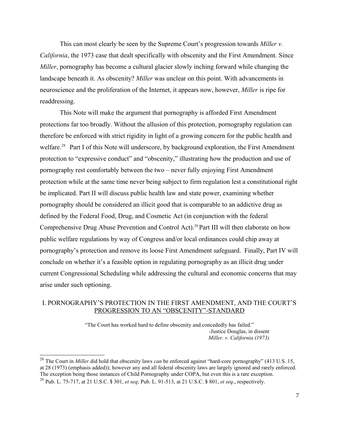This can most clearly be seen by the Supreme Court's progression towards *Miller v. California*, the 1973 case that dealt specifically with obscenity and the First Amendment. Since *Miller*, pornography has become a cultural glacier slowly inching forward while changing the landscape beneath it. As obscenity? *Miller* was unclear on this point. With advancements in neuroscience and the proliferation of the Internet, it appears now, however, *Miller* is ripe for readdressing.

This Note will make the argument that pornography is afforded First Amendment protections far too broadly. Without the allusion of this protection, pornography regulation can therefore be enforced with strict rigidity in light of a growing concern for the public health and welfare.<sup>[28](#page-6-0)</sup> Part I of this Note will underscore, by background exploration, the First Amendment protection to "expressive conduct" and "obscenity," illustrating how the production and use of pornography rest comfortably between the two – never fully enjoying First Amendment protection while at the same time never being subject to firm regulation lest a constitutional right be implicated. Part II will discuss public health law and state power, examining whether pornography should be considered an illicit good that is comparable to an addictive drug as defined by the Federal Food, Drug, and Cosmetic Act (in conjunction with the federal Comprehensive Drug Abuse Prevention and Control Act).[29](#page-6-1) Part III will then elaborate on how public welfare regulations by way of Congress and/or local ordinances could chip away at pornography's protection and remove its loose First Amendment safeguard. Finally, Part IV will conclude on whether it's a feasible option in regulating pornography as an illicit drug under current Congressional Scheduling while addressing the cultural and economic concerns that may arise under such optioning.

## I. PORNOGRAPHY'S PROTECTION IN THE FIRST AMENDMENT, AND THE COURT'S PROGRESSION TO AN "OBSCENITY"-STANDARD

"The Court has worked hard to define obscenity and concededly has failed." -Justice Douglas, in dissent *Miller. v. California (1973)*

<span id="page-6-1"></span><span id="page-6-0"></span><sup>28</sup> The Court in *Miller* did hold that obscenity laws *can* be enforced against "hard-core pornography" (413 U.S. 15, at 28 (1973) (emphasis added)); however any and all federal obscenity laws are largely ignored and rarely enforced. The exception being those instances of Child Pornography under COPA, but even this is a rare exception. <sup>29</sup> Pub. L. 75-717, at 21 U.S.C. § 301, *et seq*; Pub. L. 91-513, at 21 U.S.C. § 801, *et seq*., respectively.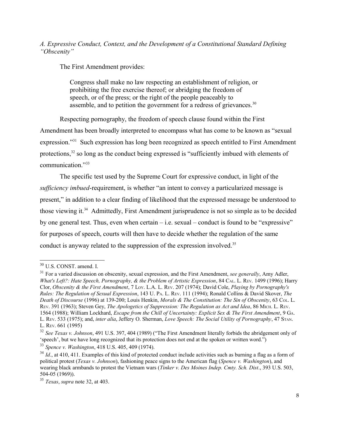## *A. Expressive Conduct, Context, and the Development of a Constitutional Standard Defining "Obscenity"*

The First Amendment provides:

Congress shall make no law respecting an establishment of religion, or prohibiting the free exercise thereof; or abridging the freedom of speech, or of the press; or the right of the people peaceably to assemble, and to petition the government for a redress of grievances.<sup>[30](#page-7-0)</sup>

Respecting pornography, the freedom of speech clause found within the First

Amendment has been broadly interpreted to encompass what has come to be known as "sexual expression."<sup>[31](#page-7-1)</sup> Such expression has long been recognized as speech entitled to First Amendment protections,<sup>[32](#page-7-2)</sup> so long as the conduct being expressed is "sufficiently imbued with elements of communication."<sup>[33](#page-7-3)</sup>

The specific test used by the Supreme Court for expressive conduct, in light of the *sufficiency imbued*-requirement, is whether "an intent to convey a particularized message is present," in addition to a clear finding of likelihood that the expressed message be understood to those viewing it.[34](#page-7-4) Admittedly, First Amendment jurisprudence is not so simple as to be decided by one general test. Thus, even when certain  $-$  i.e. sexual  $-$  conduct is found to be "expressive" for purposes of speech, courts will then have to decide whether the regulation of the same conduct is anyway related to the suppression of the expression involved.<sup>[35](#page-7-5)</sup>

<span id="page-7-3"></span><sup>33</sup> *Spence v. Washington*, 418 U.S. 405, 409 (1974).

<span id="page-7-0"></span><sup>30</sup> U.S. CONST. amend. I.

<span id="page-7-1"></span><sup>&</sup>lt;sup>31</sup> For a varied discussion on obscenity, sexual expression, and the First Amendment, *see generally*, Amy Adler, *What's Left?: Hate Speech, Pornography, & the Problem of Artistic Expression, 84 CAL. L. REV. 1499 (1996); Harry* Clor, *Obscenity & the First Amendment*, 7 LOY. L.A. L. REV. 207 (1974); David Cole, *Playing by Pornography's Rules: The Regulation of Sexual Expression*, 143 U. PA. L. REV. 111 (1994); Ronald Collins & David Skover, *The Death of Discourse* (1996) at 139-200; Louis Henkin, *Morals & The Constitution: The Sin of Obscenity*, 63 COL. L. REV. 391 (1963); Steven Gey, *The Apologetics of Suppression: The Regulation as Act and Idea*, 86 MICH. L. REV. 1564 (1988); William Lockhard, *Escape from the Chill of Uncertainty: Explicit Sex & The First Amendment*, 9 GA. L. REV. 533 (1975); and, *inter alia*, Jeffery O. Sherman, *Love Speech: The Social Utility of Pornography*, 47 STAN. L. REV. 661 (1995)

<span id="page-7-2"></span><sup>32</sup> *See Texas v. Johnson*, 491 U.S. 397, 404 (1989) ("The First Amendment literally forbids the abridgement only of 'speech', but we have long recognized that its protection does not end at the spoken or written word.")

<span id="page-7-4"></span><sup>&</sup>lt;sup>34</sup> *Id.*, at 410, 411. Examples of this kind of protected conduct include activities such as burning a flag as a form of political protest (*Texas v. Johnson*), fashioning peace signs to the American flag (*Spence v. Washington*), and wearing black armbands to protest the Vietnam wars (*Tinker v. Des Moines Indep. Cmty. Sch. Dist*., 393 U.S. 503, 504-05 (1969)).

<span id="page-7-5"></span><sup>35</sup> *Texas*, *supra* note 32, at 403.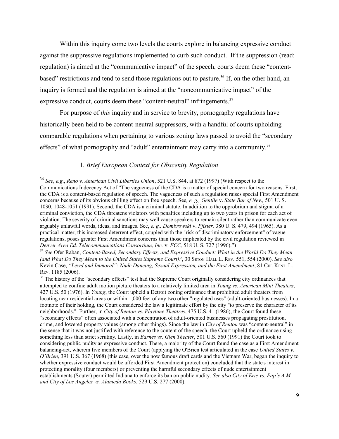Within this inquiry come two levels the courts explore in balancing expressive conduct against the suppressive regulations implemented to curb such conduct. If the suppression (read: regulation) is aimed at the "communicative impact" of the speech, courts deem these "content-based" restrictions and tend to send those regulations out to pasture.<sup>[36](#page-8-0)</sup> If, on the other hand, an inquiry is formed and the regulation is aimed at the "noncommunicative impact" of the expressive conduct, courts deem these "content-neutral" infringements.<sup>[37](#page-8-1)</sup>

For purpose of *this* inquiry and in service to brevity, pornography regulations have historically been held to be content-neutral suppressors, with a handful of courts upholding comparable regulations when pertaining to various zoning laws passed to avoid the "secondary effects" of what pornography and "adult" entertainment may carry into a community.<sup>[38](#page-8-2)</sup>

## 1*. Brief European Context for Obscenity Regulation*

<span id="page-8-0"></span><sup>36</sup> *See*, *e.g*., *Reno v. American Civil Liberties Union*, 521 U.S. 844, at 872 (1997) (With respect to the Communications Indecency Act of "The vagueness of the CDA is a matter of special concern for two reasons. First, the CDA is a content-based regulation of speech. The vagueness of such a regulation raises special First Amendment concerns because of its obvious chilling effect on free speech. See*, e. g., Gentile* v. *State Bar of Nev.,* 501 U. S. 1030, 1048-1051 (1991). Second, the CDA is a criminal statute. In addition to the opprobrium and stigma of a criminal conviction, the CDA threatens violators with penalties including up to two years in prison for each act of violation. The severity of criminal sanctions may well cause speakers to remain silent rather than communicate even arguably unlawful words, ideas, and images. See, *e. g., Dombrowski* v. *Pfister,* 380 U. S. 479, 494 (1965). As a practical matter, this increased deterrent effect, coupled with the "risk of discriminatory enforcement" of vague regulations, poses greater First Amendment concerns than those implicated by the civil regulation reviewed in *Denver Area Ed. Telecommunications Consortium, Inc.* v. *FCC,* 518 U. S. 727 (1996).")

<span id="page-8-1"></span><sup>37</sup> *See* Ofer Raban, *Content-Based, Secondary Effects, and Expressive Conduct: What in the World Do They Mean (and What Do They Mean to the United States Supreme Court)?*, 30 SETON HALL L. REV. 551, 554 (2000). *See also* Kevin Case, "Lewd and Immoral": Nude Dancing, Sexual Expression, and the First Amendment, 81 CHI. KENT. L. REV. 1185 (2006).

<span id="page-8-2"></span><sup>&</sup>lt;sup>38</sup> The history of the "secondary effects" test had the Supreme Court originally considering city ordinances that attempted to confine adult motion picture theaters to a relatively limited area in *Young vs. American Mini Theaters*, 427 U.S. 50 (1976). In *Young*, the Court upheld a Detroit zoning ordinance that prohibited adult theaters from locating near residential areas or within 1,000 feet of any two other "regulated uses" (adult-oriented businesses). In a footnote of their holding, the Court considered the law a legitimate effort by the city "to preserve the character of its neighborhoods." Further, in *City of Renton vs. Playtime Theatres*, 475 U.S. 41 (1986), the Court found these "secondary effects" often associated with a concentration of adult-oriented businesses propagating prostitution, crime, and lowered property values (among other things). Since the law in *City of Renton* was "content-neutral" in the sense that it was not justified with reference to the content of the speech, the Court upheld the ordinance using something less than strict scrutiny. Lastly, in *Barnes vs. Glen Theater*, 501 U.S. 560 (1991) the Court took to considering public nudity as expressive conduct. There, a majority of the Court found the case as a First Amendment balancing-act, wherein five members of the Court (applying the O'Brien test articulated in the case *United States v. O'Brien*, 391 U.S. 367 (1968) (this case, over the now famous draft cards and the Vietnam War, began the inquiry to whether expressive conduct would be afforded First Amendment protection) concluded that the state's interest in protecting morality (four members) or preventing the harmful secondary effects of nude entertainment establishments (Souter) permitted Indiana to enforce its ban on public nudity. *See also City of Erie vs. Pap's A.M. and City of Los Angeles vs. Alameda Books*, 529 U.S. 277 (2000).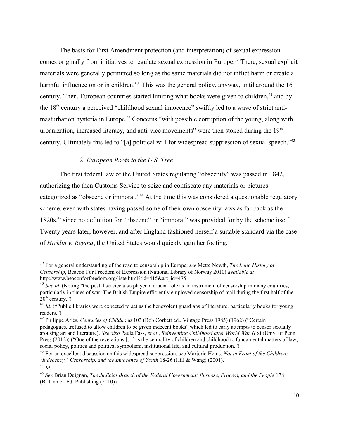The basis for First Amendment protection (and interpretation) of sexual expression comes originally from initiatives to regulate sexual expression in Europe.<sup>[39](#page-9-0)</sup> There, sexual explicit materials were generally permitted so long as the same materials did not inflict harm or create a harmful influence on or in children.<sup>[40](#page-9-1)</sup> This was the general policy, anyway, until around the  $16<sup>th</sup>$ century. Then, European countries started limiting what books were given to children,<sup>[41](#page-9-2)</sup> and by the 18<sup>th</sup> century a perceived "childhood sexual innocence" swiftly led to a wave of strict anti-masturbation hysteria in Europe.<sup>[42](#page-9-3)</sup> Concerns "with possible corruption of the young, along with urbanization, increased literacy, and anti-vice movements" were then stoked during the  $19<sup>th</sup>$ century. Ultimately this led to "[a] political will for widespread suppression of sexual speech."<sup>[43](#page-9-4)</sup>

## 2*. European Roots to the U.S. Tree*

The first federal law of the United States regulating "obscenity" was passed in 1842, authorizing the then Customs Service to seize and confiscate any materials or pictures categorized as "obscene or immoral."[44](#page-9-5) At the time this was considered a questionable regulatory scheme, even with states having passed some of their own obscenity laws as far back as the 1820s,<sup>[45](#page-9-6)</sup> since no definition for "obscene" or "immoral" was provided for by the scheme itself. Twenty years later, however, and after England fashioned herself a suitable standard via the case of *Hicklin v. Regina*, the United States would quickly gain her footing.

<span id="page-9-0"></span><sup>39</sup> For a general understanding of the road to censorship in Europe, *see* Mette Newth, *The Long History of Censorship*, Beacon For Freedom of Expression (National Library of Norway 2010) *available at* http://www.beaconforfreedom.org/liste.html?tid=415&art\_id=475

<span id="page-9-1"></span><sup>&</sup>lt;sup>40</sup> *See Id.* (Noting "the postal service also played a crucial role as an instrument of censorship in many countries, particularly in times of war. The British Empire efficiently employed censorship of mail during the first half of the  $20<sup>th</sup>$  century.")

<span id="page-9-2"></span><sup>&</sup>lt;sup>41</sup> *Id.* ("Public libraries were expected to act as the benevolent guardians of literature, particularly books for young readers.")

<span id="page-9-3"></span><sup>42</sup> Philippe Ariès, *Centuries of Childhood* 103 (Bob Corbett ed., Vintage Press 1985) (1962) ("Certain pedagogues...refused to allow children to be given indecent books" which led to early attempts to censor sexually arousing art and literature). *See also* Paula Fass, *et al*., *Reinventing Childhood after World War II* xi (Univ. of Penn. Press (2012)) ("One of the revelations [...] is the centrality of children and childhood to fundamental matters of law, social policy, politics and political symbolism, institutional life, and cultural production.")

<span id="page-9-4"></span><sup>43</sup> For an excellent discussion on this widespread suppression, see Marjorie Heins, *Not in Front of the Children: "Indecency," Censorship, and the Innocence of Youth* 18-26 (Hill & Wang) (2001). <sup>44</sup> *Id*.

<span id="page-9-5"></span>

<span id="page-9-6"></span><sup>45</sup> *See* Brian Duignan, *The Judicial Branch of the Federal Government: Purpose, Process, and the People* 178 (Britannica Ed. Publishing (2010)).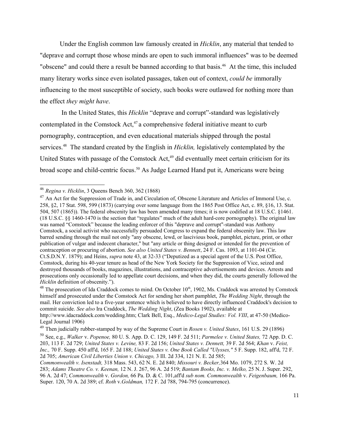Under the English common law famously created in *Hicklin*, any material that tended to "deprave and corrupt those whose minds are open to such immoral influences" was to be deemed "obscene" and could there a result be banned according to that basis.<sup>[46](#page-10-0)</sup> At the time, this included many literary works since even isolated passages, taken out of context, *could be* immorally influencing to the most susceptible of society, such books were outlawed for nothing more than the effect *they might have*.

 In the United States, this *Hicklin* "deprave and corrupt"-standard was legislatively contemplated in the Comstock  $Act<sub>1</sub><sup>47</sup>$  $Act<sub>1</sub><sup>47</sup>$  $Act<sub>1</sub><sup>47</sup>$  a comprehensive federal initiative meant to curb pornography, contraception, and even educational materials shipped through the postal services.<sup>[48](#page-10-2)</sup> The standard created by the English in *Hicklin*, legislatively contemplated by the United States with passage of the Comstock Act,<sup>[49](#page-10-3)</sup> did eventually meet certain criticism for its broad scope and child-centric focus.<sup>[50](#page-10-4)</sup> As Judge Learned Hand put it, Americans were being

<span id="page-10-2"></span> $48$  The prosecution of Ida Craddock comes to mind. On October  $10<sup>th</sup>$ , 1902, Ms. Craddock was arrested by Comstock himself and prosecuted under the Comstock Act for sending her short pamphlet, *The Wedding Night*, through the mail. Her conviction led to a five-year sentence which is believed to have directly influenced Craddock's decision to commit suicide. *See also* Ira Craddock, *The Wedding Night*, (Zea Books 1902), available at http://www.idacraddock.com/wedding.htm; Clark Bell, Esq., *Medico-Legal Studies: Vol. VIII*, at 47-50 (Medico-Legal Journal 1906)

<span id="page-10-4"></span><sup>50</sup> See, e.g., *Walker* v. *Popenoe,* 80 U. S. App. D. C. 129, 149 F. 2d 511; *Parmelee v. United States,* 72 App. D. C. 203, 113 F. 2d 729; *United States v. Levine,* 83 F. 2d 156; *United States v. Dennett,* 39 F. 2d 564; *Khan* v. *Feist, Inc.,* 70 F. Supp. 450 aff'd, 165 F. 2d 188; *United States v. One Book Called "Ulysses,"* 5 F. Supp. 182, aff'd, 72 F. 2d 705; *American Civil Liberties Union v. Chicago,* 3 Ill. 2d 334, 121 N. E. 2d 585;

<span id="page-10-0"></span><sup>46</sup> *Regina v. Hicklin*, 3 Queens Bench 360, 362 (1868)

<span id="page-10-1"></span><sup>&</sup>lt;sup>47</sup> An Act for the Suppression of Trade in, and Circulation of, Obscene Literature and Articles of Immoral Use, c. 258, §2, 17 Stat. 598, 599 (1873) (carrying over some language from the 1865 Post Office Act, c. 89, §16, 13. Stat. 504, 507 (1865)). The federal obscenity law has been amended many times; it is now codified at 18 U.S.C. §1461. (18 U.S.C. §§ 1460-1470 is the section that "regulates" much of the adult hard-core pornography). The original law was named "Comstock" because the leading enforcer of this "deprave and corrupt"-standard was Anthony Comstock, a social activist who successfully persuaded Congress to expand the federal obscenity law. This law barred sending through the mail not only "any obscene, lewd, or lascivious book, pamphlet, picture, print, or other publication of vulgar and indecent character," but "any article or thing designed or intended for the prevention of contraception or procuring of abortion. *See also United States v. Bennett*, 24 F. Cas. 1093, at 1101-04 (Cir. Ct.S.D.N.Y. 1879); and Heins, *supra* note 43, at 32-33 ("Deputized as a special agent of the U.S. Post Office, Comstock, during his 40-year tenure as head of the New York Society for the Suppression of Vice, seized and destroyed thousands of books, magazines, illustrations, and contraceptive advertisements and devices. Arrests and prosecutions only occasionally led to appellate court decisions, and when they did, the courts generally followed the *Hicklin* definition of obscenity.").

<span id="page-10-3"></span><sup>49</sup> Then judicially rubber-stamped by way of the Supreme Court in *Rosen v. United States*, 161 U.S. 29 (1896)

*Commonwealth v. Isenstadt,* 318 Mass. 543, 62 N. E. 2d 840; *Missouri v. Becker,*364 Mo. 1079, 272 S. W. 2d 283; *Adams Theatre Co. v. Keenan,* 12 N. J. 267, 96 A. 2d 519; *Bantam Books, Inc. v. Melko,* 25 N. J. Super. 292, 96 A. 2d 47; *Commonwealth* v. *Gordon,* 66 Pa. D. & C. 101,aff'd *sub nom. Commonwealth* v. *Feigenbaum,* 166 Pa. Super. 120, 70 A. 2d 389; cf. *Roth* v.*Goldman,* 172 F. 2d 788, 794-795 (concurrence).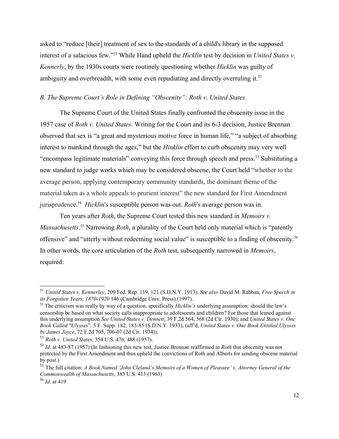asked to "reduce [their] treatment of sex to the standards of a child's library in the supposed interest of a salacious few."[51](#page-11-0) While Hand upheld the *Hicklin* test by decision in *United States v. Kennerly*, by the 1930s courts were routinely questioning whether *Hicklin* was guilty of ambiguity and overbreadth, with some even repudiating and directly overruling it.<sup>[52](#page-11-1)</sup>

## *B. The Supreme Court's Role in Defining "Obscenity": Roth v. United States*

The Supreme Court of the United States finally confronted the obscenity issue in the 1957 case of *Roth v. United States.* Writing for the Court and its 6-3 decision, Justice Brennan observed that sex is "a great and mysterious motive force in human life," "a subject of absorbing interest to mankind through the ages," but the *Hinklin* effort to curb obscenity may very well "encompass legitimate materials" conveying this force through speech and press.[53](#page-11-2) Substituting a new standard to judge works which may be considered obscene, the Court held "whether to the average person, applying contemporary community standards, the dominant theme of the material taken as a whole appeals to prurient interest" the new standard for First Amendment jurisprudence. [54](#page-11-3) *Hicklin*'s susceptible person was out. *Roth*'s average person was in.

Ten years after *Roth*, the Supreme Court tested this new standard in *Memoirs v. Massachusetts*. [55](#page-11-4) Narrowing *Roth*, a plurality of the Court held only material which is "patently offensive" and "utterly without redeeming social value" is susceptible to a finding of obscenity.[56](#page-11-5) In other words, the core articulation of the *Roth* test, subsequently narrowed in *Memoirs*, required:

<span id="page-11-0"></span><sup>51</sup> *United States v. Kennerley*, 209 Fed. Rep. 119, 121 (S.D.N.Y. 1913). *See also* David M. Rabban, *Free Speech in its Forgotten Years, 1870-1920* 146 (Cambridge Univ. Press) (1997).

<span id="page-11-1"></span><sup>&</sup>lt;sup>52</sup> The criticism was really by way of a question, specifically *Hicklin's* underlying assumption: should the law's censorship be based on what society calls inappropriate to adolescents and children? For those that leaned against this underlying assumption *See United States v. Dennett*, 39 F.2d 564, 568 (2d Cir. 1930); and *United States v. One Book Called "Ulysses*"*,* 5 F. Supp. 182, 183-85 (S.D.N.Y. 1933), (aff'd, *United States v. One Book Entitled Ulysses by James Joyce*, 72 F.2d 705, 706-07 (2d Cir. 1934)).

<span id="page-11-2"></span><sup>53</sup> *Roth v. United States*, 354 U.S. 476, 488 (1957).

<span id="page-11-3"></span><sup>54</sup> *Id*. at 483-87 (1957) (In fashioning this new test, Justice Brennan reaffirmed in *Roth* that obscenity was not protected by the First Amendment and thus upheld the convictions of Roth and Alberts for sending obscene material by post.)

<span id="page-11-4"></span><sup>55</sup> The full citation: *A Book Named 'John Cleland's Memoirs of a Women of Pleasure' v. Attorney General of the Commonwealth of Massachusetts*, 383 U.S. 413 (1963)

<span id="page-11-5"></span><sup>56</sup> *Id*. at 419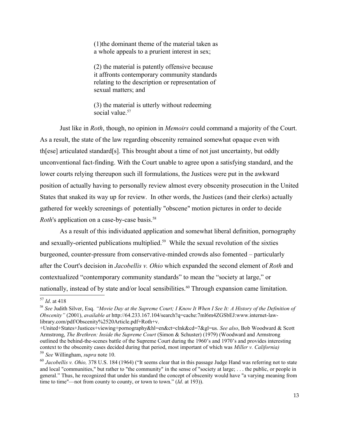(1)the dominant theme of the material taken as a whole appeals to a prurient interest in sex;

(2) the material is patently offensive because it affronts contemporary community standards relating to the description or representation of sexual matters; and

(3) the material is utterly without redeeming social value.<sup>[57](#page-12-0)</sup>

Just like in *Roth*, though, no opinion in *Memoirs* could command a majority of the Court. As a result, the state of the law regarding obscenity remained somewhat opaque even with th[ese] articulated standard[s]. This brought about a time of not just uncertainty, but oddly unconventional fact-finding. With the Court unable to agree upon a satisfying standard, and the lower courts relying thereupon such ill formulations, the Justices were put in the awkward position of actually having to personally review almost every obscenity prosecution in the United States that snaked its way up for review. In other words, the Justices (and their clerks) actually gathered for weekly screenings of potentially "obscene" motion pictures in order to decide *Roth*'s application on a case-by-case basis.<sup>[58](#page-12-1)</sup>

As a result of this individuated application and somewhat liberal definition, pornography and sexually-oriented publications multiplied.<sup>[59](#page-12-2)</sup> While the sexual revolution of the sixties burgeoned, counter-pressure from conservative-minded crowds also fomented – particularly after the Court's decision in *Jacobellis v. Ohio* which expanded the second element of *Roth* and contextualized "contemporary community standards" to mean the "society at large," or nationally, instead of by state and/or local sensibilities.<sup>[60](#page-12-3)</sup> Through expansion came limitation.

<span id="page-12-0"></span><sup>57</sup> *Id*. at 418

<span id="page-12-1"></span><sup>58</sup> *See* Judith Silver, Esq. *"Movie Day at the Supreme Court; I Know It When I See It: A History of the Definition of Obscenity"* (2001), *available at* http://64.233.167.104/search?q=cache:7ml6m4ZGSbEJ:www.internet-lawlibrary.com/pdf/Obscenity%2520Article.pdf+Roth+v.

<sup>+</sup>United+States+Justices+viewing+pornography&hl=en&ct=clnk&cd=7&gl=us. *See also*, Bob Woodward & Scott Armstrong, *The Brethren: Inside the Supreme Court* (Simon & Schuster) (1979) (Woodward and Armstrong outlined the behind-the-scenes battle of the Supreme Court during the 1960's and 1970's and provides interesting context to the obscenity cases decided during that period, most important of which was *Miller v. California)* <sup>59</sup> *See* Willingham, *supra* note 10.

<span id="page-12-3"></span><span id="page-12-2"></span><sup>&</sup>lt;sup>60</sup> *Jacobellis v. Ohio,* 378 U.S. 184 (1964) ("It seems clear that in this passage Judge Hand was referring not to state and local "communities," but rather to "the community" in the sense of "society at large; . . . the public, or people in general." Thus, he recognized that under his standard the concept of obscenity would have "a varying meaning from time to time"—not from county to county, or town to town." (*Id*. at 193)).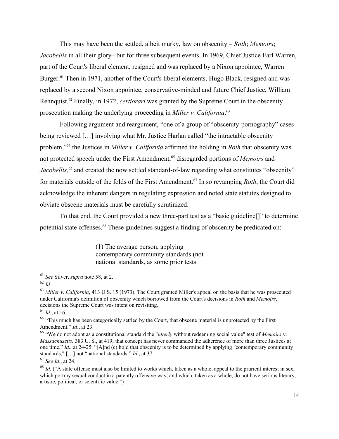This may have been the settled, albeit murky, law on obscenity – *Roth*; *Memoirs*; *Jacobellis* in all their glory– but for three subsequent events. In 1969, Chief Justice Earl Warren, part of the Court's liberal element, resigned and was replaced by a Nixon appointee, Warren Burger.<sup>[61](#page-13-0)</sup> Then in 1971, another of the Court's liberal elements, Hugo Black, resigned and was replaced by a second Nixon appointee, conservative-minded and future Chief Justice, William Rehnquist.[62](#page-13-1) Finally, in 1972, *certiorari* was granted by the Supreme Court in the obscenity prosecution making the underlying proceeding in *Miller v. California*. [63](#page-13-2)

Following argument and reargument, "one of a group of "obscenity-pornography" cases being reviewed [...] involving what Mr. Justice Harlan called "the intractable obscenity problem,"[64](#page-13-3) the Justices in *Miller v. California* affirmed the holding in *Roth* that obscenity was not protected speech under the First Amendment,<sup>[65](#page-13-4)</sup> disregarded portions of *Memoirs* and *Jacobellis,[66](#page-13-5)* and created the now settled standard-of-law regarding what constitutes "obscenity" for materials outside of the folds of the First Amendment.[67](#page-13-6) In so revamping *Roth*, the Court did acknowledge the inherent dangers in regulating expression and noted state statutes designed to obviate obscene materials must be carefully scrutinized.

To that end, the Court provided a new three-part test as a "basic guideline[]" to determine potential state offenses.<sup>[68](#page-13-7)</sup> These guidelines suggest a finding of obscenity be predicated on:

> (1) The average person, applying contemporary community standards (not national standards, as some prior tests

<span id="page-13-3"></span><sup>64</sup> *Id*., at 16.

<span id="page-13-0"></span><sup>61</sup> *See* Silver, *supra* note 58, at 2.

<span id="page-13-1"></span><sup>62</sup> *Id*.

<span id="page-13-2"></span><sup>63</sup> *Miller v. California*, 413 U.S. 15 (1973). The Court granted Miller's appeal on the basis that he was prosecuted under California's definition of obscenity which borrowed from the Court's decisions in *Roth* and *Memoirs*, decisions the Supreme Court was intent on revisiting.

<span id="page-13-4"></span><sup>&</sup>lt;sup>65</sup> "This much has been categorically settled by the Court, that obscene material is unprotected by the First Amendment." *Id*., at 23.

<span id="page-13-5"></span><sup>66</sup> "We do not adopt as a constitutional standard the "*utterly* without redeeming social value" test of *Memoirs* v. *Massachusetts,* 383 U. S., at 419; that concept has never commanded the adherence of more than three Justices at one time." *Id*., at 24-25. "[A]nd (c) hold that obscenity is to be determined by applying "contemporary community standards," […] not "national standards." *Id*., at 37.

<span id="page-13-6"></span><sup>67</sup> *See Id*., at 24.

<span id="page-13-7"></span><sup>&</sup>lt;sup>68</sup> *Id.* ("A state offense must also be limited to works which, taken as a whole, appeal to the prurient interest in sex, which portray sexual conduct in a patently offensive way, and which, taken as a whole, do not have serious literary, artistic, political, or scientific value.")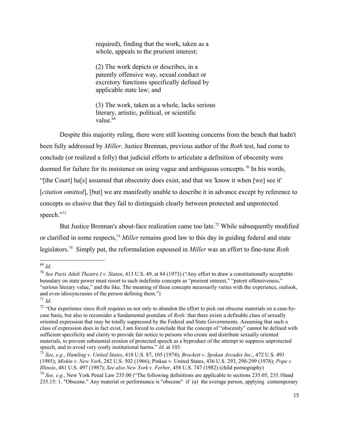required), finding that the work, taken as a whole, appeals to the prurient interest;

(2) The work depicts or describes, in a patently offensive way, sexual conduct or excretory functions specifically defined by applicable state law; and

(3) The work, taken as a whole, lacks serious literary, artistic, political, or scientific value<sup>[69](#page-14-0)</sup>

Despite this majority ruling, there were still looming concerns from the bench that hadn't been fully addressed by *Miller*. Justice Brennan, previous author of the *Roth* test, had come to conclude (or realized a folly) that judicial efforts to articulate a definition of obscenity were doomed for failure for its insistence on using vague and ambiguous concepts.[70](#page-14-1) In his words, "[the Court] ha[s] assumed that obscenity does exist, and that we 'know it when [we] see it' [*citation omitted*], [but] we are manifestly unable to describe it in advance except by reference to concepts so elusive that they fail to distinguish clearly between protected and unprotected speech."[71](#page-14-2)

But Justice Brennan's about-face realization came too late.<sup>[72](#page-14-3)</sup> While subsequently modified or clarified in some respects,[73](#page-14-4) *Miller* remains good law to this day in guiding federal and state legislators.[74](#page-14-5) Simply put, the reformulation espoused in *Miller* was an effort to fine-tune *Roth*

<span id="page-14-0"></span><sup>69</sup> *Id*.

<span id="page-14-1"></span><sup>70</sup> *See Paris Adult Theatre I v. Slaton*, 413 U.S. 49, at 84 (1973) ("Any effort to draw a constitutionally acceptable boundary on state power must resort to such indefinite concepts as "prurient interest," "patent offensiveness," "serious literary value," and the like. The meaning of these concepts necessarily varies with the experience, outlook, and even idiosyncrasies of the person defining them.")

<span id="page-14-2"></span> $17^{1}$  *Id.* 

<span id="page-14-3"></span><sup>&</sup>lt;sup>72</sup> "Our experience since *Roth* requires us not only to abandon the effort to pick out obscene materials on a case-bycase basis, but also to reconsider a fundamental postulate of *Roth:* that there exists a definable class of sexually oriented expression that may be totally suppressed by the Federal and State Governments. Assuming that such a class of expression does in fact exist, I am forced to conclude that the concept of "obscenity" cannot be defined with sufficient specificity and clarity to provide fair notice to persons who create and distribute sexually oriented materials, to prevent substantial erosion of protected speech as a byproduct of the attempt to suppress unprotected speech, and to avoid very costly institutional harms." *Id*. at 103.

<span id="page-14-4"></span><sup>73</sup> *See*, *e.g.*, *Hamling v. United States*, 418 U.S. 87, 105 (1974); *Brockett v. Spokan Arcades Inc*., 472 U.S. 491 (1985); *Miskin v. New York*, 282 U.S. 502 (1966); Pinkus v. United States, 436 U.S. 293, 298-299 (1978); *Pope v. Illinois*, 481 U.S. 497 (1987); *See also New York v. Ferber*, 458 U.S. 747 (1982) (child pornography)

<span id="page-14-5"></span><sup>74</sup> *See, e.g*., New York Penal Law 235.00 ("The following definitions are applicable to sections 235.05, 235.10and 235.15: 1. "Obscene." Any material or performance is "obscene" if (a) the average person, applying contemporary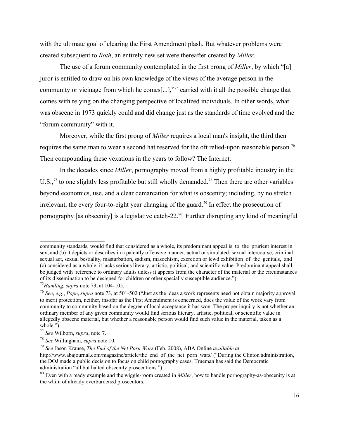with the ultimate goal of clearing the First Amendment plash. But whatever problems were created subsequent to *Roth*, an entirely new set were thereafter created by *Miller*.

The use of a forum community contemplated in the first prong of *Miller*, by which "[a] juror is entitled to draw on his own knowledge of the views of the average person in the community or vicinage from which he comes[...],"[75](#page-15-0) carried with it all the possible change that comes with relying on the changing perspective of localized individuals. In other words, what was obscene in 1973 quickly could and did change just as the standards of time evolved and the "forum community" with it.

Moreover, while the first prong of *Miller* requires a local man's insight, the third then requires the same man to wear a second hat reserved for the oft relied-upon reasonable person.<sup>[76](#page-15-1)</sup> Then compounding these vexations in the years to follow? The Internet.

In the decades since *Miller*, pornography moved from a highly profitable industry in the U.S., $^{77}$  $^{77}$  $^{77}$  to one slightly less profitable but still wholly demanded.<sup>[78](#page-15-3)</sup> Then there are other variables beyond economics, use, and a clear demarcation for what is obscenity; including, by no stretch irrelevant, the every four-to-eight year changing of the guard.<sup>[79](#page-15-4)</sup> In effect the prosecution of pornography [as obscenity] is a legislative catch-22.<sup>[80](#page-15-5)</sup> Further disrupting any kind of meaningful

community standards, would find that considered as a whole, its predominant appeal is to the prurient interest in sex, and (b) it depicts or describes in a patently offensive manner, actual or simulated: sexual intercourse, criminal sexual act, sexual bestiality, masturbation, sadism, masochism, excretion or lewd exhibition of the genitals, and (c) considered as a whole, it lacks serious literary, artistic, political, and scientific value. Predominant appeal shall be judged with reference to ordinary adults unless it appears from the character of the material or the circumstances of its dissemination to be designed for children or other specially susceptible audience.")

<span id="page-15-0"></span><sup>75</sup>*Hamling*, *supra* note 73, at 104-105.

<span id="page-15-1"></span><sup>76</sup> *See*, *e.g*., *Pope*, *supra* note 73, at 501-502 ("Just as the ideas a work represents need not obtain majority approval to merit protection, neither, insofar as the First Amendment is concerned, does the value of the work vary from community to community based on the degree of local acceptance it has won. The proper inquiry is not whether an ordinary member of any given community would find serious literary, artistic, political, or scientific value in allegedly obscene material, but whether a reasonable person would find such value in the material, taken as a whole.")

<span id="page-15-2"></span><sup>77</sup> *See* Wilborn, *supra*, note 7.

<span id="page-15-3"></span><sup>78</sup> *See* Willingham, *supra* note 10.

<span id="page-15-4"></span><sup>79</sup> *See* Jason Krause, *The End of the Net Porn Wars* (Feb. 2008), ABA Online *available at*

http://www.abajournal.com/magazine/article/the\_end\_of\_the\_net\_porn\_wars/ ("During the Clinton administration, the DOJ made a public decision to focus on child pornography cases. Trueman has said the Democratic administration "all but halted obscenity prosecutions.")

<span id="page-15-5"></span><sup>80</sup> Even with a ready example and the wiggle-room created in *Miller*, how to handle pornography-as-obscenity is at the whim of already overburdened prosecutors.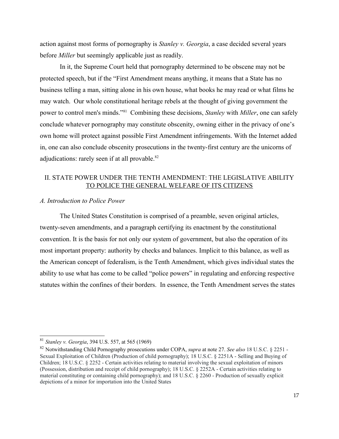action against most forms of pornography is *Stanley v. Georgia*, a case decided several years before *Miller* but seemingly applicable just as readily.

In it, the Supreme Court held that pornography determined to be obscene may not be protected speech, but if the "First Amendment means anything, it means that a State has no business telling a man, sitting alone in his own house, what books he may read or what films he may watch. Our whole constitutional heritage rebels at the thought of giving government the power to control men's minds."[81](#page-16-0) Combining these decisions, *Stanley* with *Miller*, one can safely conclude whatever pornography may constitute obscenity, owning either in the privacy of one's own home will protect against possible First Amendment infringements. With the Internet added in, one can also conclude obscenity prosecutions in the twenty-first century are the unicorns of adjudications: rarely seen if at all provable.<sup>[82](#page-16-1)</sup>

## II. STATE POWER UNDER THE TENTH AMENDMENT: THE LEGISLATIVE ABILITY TO POLICE THE GENERAL WELFARE OF ITS CITIZENS

### *A. Introduction to Police Power*

The United States Constitution is comprised of a preamble, seven original articles, twenty-seven amendments, and a paragraph certifying its enactment by the constitutional convention. It is the basis for not only our system of government, but also the operation of its most important property: authority by checks and balances. Implicit to this balance, as well as the American concept of federalism, is the Tenth Amendment, which gives individual states the ability to use what has come to be called "police powers" in regulating and enforcing respective statutes within the confines of their borders. In essence, the Tenth Amendment serves the states

<span id="page-16-0"></span><sup>81</sup> *Stanley v. Georgia*, 394 U.S. 557, at 565 (1969)

<span id="page-16-1"></span><sup>82</sup> Notwithstanding Child Pornography prosecutions under COPA, *supra* at note 27. *See also* 18 U.S.C. § 2251 - Sexual Exploitation of Children (Production of child pornography); 18 U.S.C. § 2251A - Selling and Buying of Children; 18 U.S.C. § 2252 - Certain activities relating to material involving the sexual exploitation of minors (Possession, distribution and receipt of child pornography); 18 U.S.C. § 2252A - Certain activities relating to material constituting or containing child pornography); and 18 U.S.C. § 2260 - Production of sexually explicit depictions of a minor for importation into the United States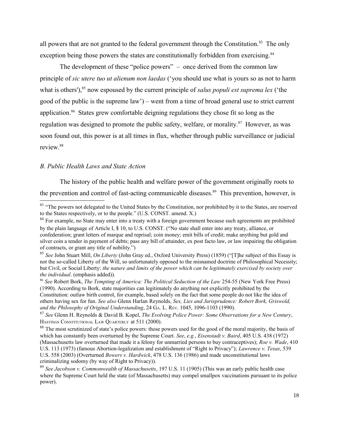all powers that are not granted to the federal government through the Constitution.<sup>[83](#page-17-0)</sup> The only exception being those powers the states are constitutionally forbidden from exercising.<sup>[84](#page-17-1)</sup>

The development of these "police powers" – once derived from the common law principle of *sic utere tuo ut alienum non laedas* ('you should use what is yours so as not to harm what is others'),<sup>[85](#page-17-2)</sup> now espoused by the current principle of *salus populi est suprema lex* ('the good of the public is the supreme law') – went from a time of broad general use to strict current application.[86](#page-17-3) States grew comfortable deigning regulations they chose fit so long as the regulation was designed to promote the public safety, welfare, or morality.<sup>[87](#page-17-4)</sup> However, as was soon found out, this power is at all times in flux, whether through public surveillance or judicial review.[88](#page-17-5)

## *B. Public Health Laws and State Action*

The history of the public health and welfare power of the government originally roots to the prevention and control of fast-acting communicable diseases.<sup>[89](#page-17-6)</sup> This prevention, however, is

<span id="page-17-0"></span><sup>&</sup>lt;sup>83</sup> "The powers not delegated to the United States by the Constitution, nor prohibited by it to the States, are reserved to the States respectively, or to the people." (U.S. CONST. amend. X.)

<span id="page-17-1"></span><sup>&</sup>lt;sup>84</sup> For example, no State may enter into a treaty with a foreign government because such agreements are prohibited by the plain language of Article I, § 10, to U.S. CONST. ("No state shall enter into any treaty, alliance, or confederation; grant letters of marque and reprisal; coin money; emit bills of credit; make anything but gold and silver coin a tender in payment of debts; pass any bill of attainder, ex post facto law, or law impairing the obligation of contracts, or grant any title of nobility.")

<span id="page-17-2"></span><sup>85</sup> *See* John Stuart Mill, *On Liberty* (John Gray ed., Oxford University Press) (1859) ("[T]he subject of this Essay is not the so-called Liberty of the Will, so unfortunately opposed to the misnamed doctrine of Philosophical Necessity; but Civil, or Social Liberty: *the nature and limits of the power which can be legitimately exercised by society over the individual*. (emphasis added)).

<span id="page-17-3"></span><sup>86</sup> *See* Robert Bork, *The Tempting of America: The Political Seduction of the Law* 254-55 (New York Free Press) (1990). According to Bork, state majorities can legitimately do anything not explicitly prohibited by the Constitution: outlaw birth control, for example, based solely on the fact that some people do not like the idea of others having sex for fun. *See also* Glenn Harlan Reynolds, *Sex, Lies and Jurisprudence: Robert Bork, Griswold, and the Philosophy of Original Understanding*, 24 GA. L. REV. 1045, 1096-1103 (1990).

<span id="page-17-4"></span><sup>87</sup> *See* Glenn H. Reynolds & David B. Kopel, *The Evolving Police Power: Some Observations for a New Century*, HASTINGS CONSTITUTIONAL LAW QUARTERLY at 511 (2000).

<span id="page-17-5"></span><sup>&</sup>lt;sup>88</sup> The most scrutinized of state's police powers: those powers used for the good of the moral majority, the basis of which has constantly been overturned by the Supreme Court. *See*, *e.g.*, *Eisenstadt v. Baird*, 405 U.S. 438 (1972) (Massachusetts law overturned that made it a felony for unmarried persons to buy contraceptives); *Roe v. Wade*, 410 U.S. 113 (1973) (famous Abortion-legalization and establishment of "Right to Privacy"); *Lawrence v. Texas*, 539 U.S. 558 (2003) (Overturned *Bowers v. Hardwick*, 478 U.S. 136 (1986) and made unconstitutional laws criminalizing sodomy (by way of Right to Privacy)).

<span id="page-17-6"></span><sup>89</sup> *See Jacobson v. Commonwealth of Massachusetts*, 197 U.S. 11 (1905) (This was an early public health case where the Supreme Court held the state (of Massachusetts) may compel smallpox vaccinations pursuant to its police power).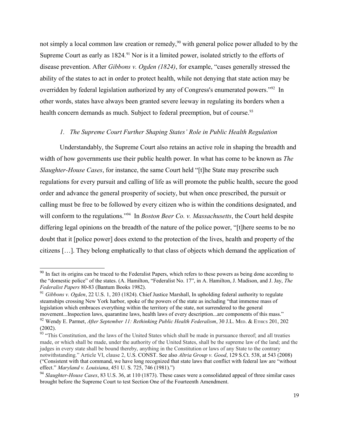not simply a local common law creation or remedy,<sup>[90](#page-18-0)</sup> with general police power alluded to by the Supreme Court as early as 1824.<sup>[91](#page-18-1)</sup> Nor is it a limited power, isolated strictly to the efforts of disease prevention. After *Gibbons v. Ogden (1824)*, for example, "cases generally stressed the ability of the states to act in order to protect health, while not denying that state action may be overridden by federal legislation authorized by any of Congress's enumerated powers."<sup>[92](#page-18-2)</sup> In other words, states have always been granted severe leeway in regulating its borders when a health concern demands as much. Subject to federal preemption, but of course.<sup>[93](#page-18-3)</sup>

### *1. The Supreme Court Further Shaping States' Role in Public Health Regulation*

Understandably, the Supreme Court also retains an active role in shaping the breadth and width of how governments use their public health power. In what has come to be known as *The Slaughter-House Cases*, for instance, the same Court held "[t]he State may prescribe such regulations for every pursuit and calling of life as will promote the public health, secure the good order and advance the general prosperity of society, but when once prescribed, the pursuit or calling must be free to be followed by every citizen who is within the conditions designated, and will conform to the regulations."<sup>[94](#page-18-4)</sup> In *Boston Beer Co. v. Massachusetts*, the Court held despite differing legal opinions on the breadth of the nature of the police power, "[t]here seems to be no doubt that it [police power] does extend to the protection of the lives, health and property of the citizens […]. They belong emphatically to that class of objects which demand the application of

<span id="page-18-0"></span><sup>&</sup>lt;sup>90</sup> In fact its origins can be traced to the Federalist Papers, which refers to these powers as being done according to the "domestic police" of the states. (A. Hamilton, "Federalist No. 17", in A. Hamilton, J. Madison, and J. Jay, *The Federalist Papers* 80-83 (Bantum Books 1982).

<span id="page-18-1"></span><sup>91</sup> *Gibbons v. Ogden*, 22 U.S. 1, 203 (1824). Chief Justice Marshall, In upholding federal authority to regulate steamships crossing New York harbor, spoke of the powers of the state as including "that immense mass of legislation which embraces everything within the territory of the state, not surrendered to the general movement...Inspection laws, quarantine laws, health laws of every description...are components of this mass." <sup>92</sup> Wendy E. Parmet, *After September 11: Rethinking Public Health Federalism*, 30 J.L. MED. & ETHICS 201, 202 (2002).

<span id="page-18-3"></span><span id="page-18-2"></span><sup>&</sup>lt;sup>93</sup> "This Constitution, and the laws of the United States which shall be made in pursuance thereof; and all treaties made, or which shall be made, under the authority of the United States, shall be the supreme law of the land; and the judges in every state shall be bound thereby, anything in the Constitution or laws of any State to the contrary notwithstanding." Article VI, clause 2, U.S. CONST. See also *Altria Group v. Good*, 129 S.Ct. 538, at 543 (2008) ("Consistent with that command, we have long recognized that state laws that conflict with federal law are "without effect." *Maryland v. Louisiana*, 451 U. S. 725, 746 (1981).")

<span id="page-18-4"></span><sup>94</sup> *Slaughter-House Cases*, 83 U.S. 36, at 110 (1873). These cases were a consolidated appeal of three similar cases brought before the Supreme Court to test Section One of the Fourteenth Amendment.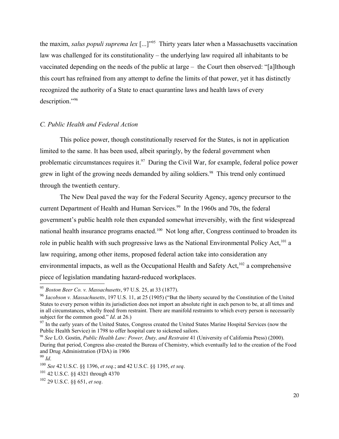the maxim, *salus populi suprema lex* [...]"[95](#page-19-0) Thirty years later when a Massachusetts vaccination law was challenged for its constitutionality – the underlying law required all inhabitants to be vaccinated depending on the needs of the public at large – the Court then observed: "[a]lthough this court has refrained from any attempt to define the limits of that power, yet it has distinctly recognized the authority of a State to enact quarantine laws and health laws of every description."[96](#page-19-1)

### *C. Public Health and Federal Action*

This police power, though constitutionally reserved for the States, is not in application limited to the same. It has been used, albeit sparingly, by the federal government when problematic circumstances requires it.<sup>[97](#page-19-2)</sup> During the Civil War, for example, federal police power grew in light of the growing needs demanded by ailing soldiers.<sup>[98](#page-19-3)</sup> This trend only continued through the twentieth century.

The New Deal paved the way for the Federal Security Agency, agency precursor to the current Department of Health and Human Services.<sup>[99](#page-19-4)</sup> In the 1960s and 70s, the federal government's public health role then expanded somewhat irreversibly, with the first widespread national health insurance programs enacted.<sup>[100](#page-19-5)</sup> Not long after, Congress continued to broaden its role in public health with such progressive laws as the National Environmental Policy Act,<sup>[101](#page-19-6)</sup> a law requiring, among other items, proposed federal action take into consideration any environmental impacts, as well as the Occupational Health and Safety Act, $^{102}$  a comprehensive piece of legislation mandating hazard-reduced workplaces.

<span id="page-19-0"></span><sup>95</sup> *Boston Beer Co. v. Massachusetts*, 97 U.S. 25, at 33 (1877).

<span id="page-19-1"></span><sup>96</sup> J*acobson v. Massachusetts*, 197 U.S. 11, at 25 (1905) ("But the liberty secured by the Constitution of the United States to every person within its jurisdiction does not import an absolute right in each person to be, at all times and in all circumstances, wholly freed from restraint. There are manifold restraints to which every person is necessarily subject for the common good." *Id*. at 26.)

<span id="page-19-2"></span><sup>&</sup>lt;sup>97</sup> In the early years of the United States, Congress created the United States Marine Hospital Services (now the Public Health Service) in 1798 to offer hospital care to sickened sailors.

<span id="page-19-3"></span><sup>98</sup> *See* L.O. Gostin, *Public Health Law: Power, Duty, and Restraint* 41 (University of California Press) (2000). During that period, Congress also created the Bureau of Chemistry, which eventually led to the creation of the Food and Drug Administration (FDA) in 1906

<span id="page-19-4"></span><sup>99</sup> *Id*.

<span id="page-19-5"></span><sup>100</sup> *See* 42 U.S.C. §§ 1396, *et seq*.; and 42 U.S.C. §§ 1395, *et seq*.

<span id="page-19-6"></span><sup>101</sup> 42 U.S.C. §§ 4321 through 4370

<span id="page-19-7"></span><sup>102</sup> 29 U.S.C. §§ 651, *et seq*.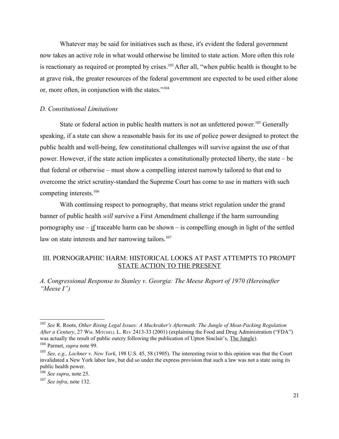Whatever may be said for initiatives such as these, it's evident the federal government now takes an active role in what would otherwise be limited to state action. More often this role is reactionary as required or prompted by crises.<sup>[103](#page-20-0)</sup> After all, "when public health is thought to be at grave risk, the greater resources of the federal government are expected to be used either alone or, more often, in conjunction with the states."[104](#page-20-1)

#### *D. Constitutional Limitations*

State or federal action in public health matters is not an unfettered power.<sup>[105](#page-20-2)</sup> Generally speaking, if a state can show a reasonable basis for its use of police power designed to protect the public health and well-being, few constitutional challenges will survive against the use of that power. However, if the state action implicates a constitutionally protected liberty, the state – be that federal or otherwise – must show a compelling interest narrowly tailored to that end to overcome the strict scrutiny-standard the Supreme Court has come to use in matters with such competing interests.<sup>[106](#page-20-3)</sup>

With continuing respect to pornography, that means strict regulation under the grand banner of public health *will* survive a First Amendment challenge if the harm surrounding pornography use  $-\underline{\text{if}}$  traceable harm can be shown  $-\underline{\text{is}}$  compelling enough in light of the settled law on state interests and her narrowing tailors.<sup>[107](#page-20-4)</sup>

## III. PORNOGRAPHIC HARM: HISTORICAL LOOKS AT PAST ATTEMPTS TO PROMPT STATE ACTION TO THE PRESENT

*A. Congressional Response to Stanley v. Georgia: The Meese Report of 1970 (Hereinafter "Meese I")*

<span id="page-20-0"></span><sup>103</sup> *See* R. Roots, *Other Rising Legal Issues: A Muckraker's Aftermath: The Jungle of Meat-Packing Regulation* After a Century, 27 WM. MITCHELL L. REV 2413-33 (2001) (explaining the Food and Drug Administration ("FDA") was actually the result of public outcry following the publication of Upton Sinclair's, The Jungle). <sup>104</sup> Parmet, *supra* note 99.

<span id="page-20-2"></span><span id="page-20-1"></span><sup>105</sup> *See, e.g., Lochner v. New York*, 198 U.S. 45, 58 (1905). The interesting twist to this opinion was that the Court invalidated a New York labor law, but did so under the express provision that such a law was not a state using its public health power.

<span id="page-20-3"></span><sup>106</sup> *See supra*, note 25.

<span id="page-20-4"></span><sup>107</sup> *See infra*, note 132.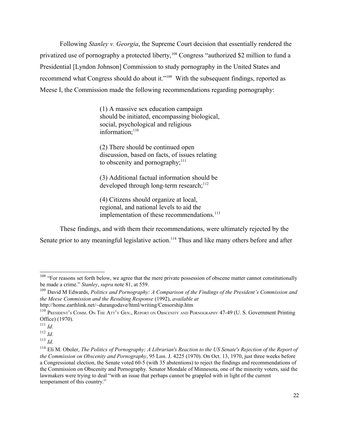Following *Stanley v. Georgia*, the Supreme Court decision that essentially rendered the privatized use of pornography a protected liberty,<sup>[108](#page-21-0)</sup> Congress "authorized \$2 million to fund a Presidential [Lyndon Johnson] Commission to study pornography in the United States and recommend what Congress should do about it."[109](#page-21-1) With the subsequent findings, reported as Meese I, the Commission made the following recommendations regarding pornography:

> (1) A massive sex education campaign should be initiated, encompassing biological, social, psychological and religious information;<sup>[110](#page-21-2)</sup>

(2) There should be continued open discussion, based on facts, of issues relating to obscenity and pornography; $^{111}$  $^{111}$  $^{111}$ 

(3) Additional factual information should be developed through long-term research; $^{112}$  $^{112}$  $^{112}$ 

(4) Citizens should organize at local, regional, and national levels to aid the implementation of these recommendations.<sup>[113](#page-21-5)</sup>

These findings, and with them their recommendations, were ultimately rejected by the Senate prior to any meaningful legislative action.<sup>[114](#page-21-6)</sup> Thus and like many others before and after

<span id="page-21-0"></span> $108$  "For reasons set forth below, we agree that the mere private possession of obscene matter cannot constitutionally be made a crime." *Stanley*, *supra* note 81, at 559.

<span id="page-21-1"></span><sup>109</sup> David M Edwards, *Politics and Pornography: A Comparison of the Findings of the President's Commission and the Meese Commission and the Resulting Response* (1992), *available at*

http://home.earthlink.net/~durangodave/html/writing/Censorship.htm

<span id="page-21-2"></span><sup>&</sup>lt;sup>110</sup> PRESIDENT'S COMM. ON THE ATT'Y GEN., REPORT ON OBSCENITY AND PORNOGRAPHY 47-49 (U. S. Government Printing Office) (1970).

<span id="page-21-3"></span><sup>111</sup> *Id*.

<span id="page-21-4"></span><sup>112</sup> *Id*.

<span id="page-21-5"></span><sup>113</sup> *Id*.

<span id="page-21-6"></span><sup>114</sup> Eli M. Oboler, *The Politics of Pornography; A Librarian's Reaction to the US Senate's Rejection of the Report of the Commission on Obscenity and Pornography*, 95 L<sub>IBR.</sub> J. 4225 (1970). On Oct. 13, 1970, just three weeks before a Congressional election, the Senate voted 60-5 (with 35 abstentions) to reject the findings and recommendations of the Commission on Obscenity and Pornography. Senator Mondale of Minnesota, one of the minority voters, said the lawmakers were trying to deal "with an issue that perhaps cannot be grappled with in light of the current temperament of this country."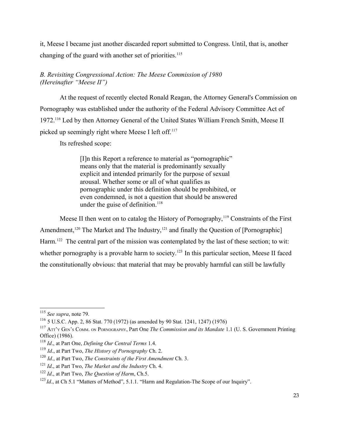it, Meese I became just another discarded report submitted to Congress. Until, that is, another changing of the guard with another set of priorities.<sup>[115](#page-22-0)</sup>

# *B. Revisiting Congressional Action: The Meese Commission of 1980 (Hereinafter "Meese II")*

At the request of recently elected Ronald Reagan, the Attorney General's Commission on Pornography was established under the authority of the Federal Advisory Committee Act of 1972.[116](#page-22-1) Led by then Attorney General of the United States William French Smith, Meese II picked up seemingly right where Meese I left off.<sup>[117](#page-22-2)</sup>

Its refreshed scope:

[I]n this Report a reference to material as "pornographic" means only that the material is predominantly sexually explicit and intended primarily for the purpose of sexual arousal. Whether some or all of what qualifies as pornographic under this definition should be prohibited, or even condemned, is not a question that should be answered under the guise of definition.<sup>[118](#page-22-3)</sup>

Meese II then went on to catalog the History of Pornography,<sup>[119](#page-22-4)</sup> Constraints of the First Amendment,<sup>[120](#page-22-5)</sup> The Market and The Industry,<sup>[121](#page-22-6)</sup> and finally the Question of [Pornographic] Harm.<sup>[122](#page-22-7)</sup> The central part of the mission was contemplated by the last of these section; to wit: whether pornography is a provable harm to society.<sup>123</sup> In this particular section, Meese II faced the constitutionally obvious: that material that may be provably harmful can still be lawfully

<span id="page-22-0"></span><sup>115</sup> *See supra*, note 79.

<span id="page-22-1"></span><sup>116</sup> 5 U.S.C. App. 2, 86 Stat. 770 (1972) (as amended by 90 Stat. 1241, 1247) (1976)

<span id="page-22-2"></span><sup>117</sup> ATT'Y GEN'S COMM. ON PORNOGRAPHY, Part One *The Commission and its Mandate* 1.1 (U. S. Government Printing Office) (1986).

<span id="page-22-3"></span><sup>118</sup> *Id*., at Part One, *Defining Our Central Terms* 1.4.

<span id="page-22-4"></span><sup>119</sup> *Id*., at Part Two, *The History of Pornography* Ch. 2.

<span id="page-22-5"></span><sup>120</sup> *Id*., at Part Two, *The Constraints of the First Amendment* Ch. 3.

<span id="page-22-6"></span><sup>121</sup> *Id*., at Part Two, *The Market and the Industry* Ch. 4.

<span id="page-22-7"></span><sup>122</sup> *Id*., at Part Two, *The Question of Harm*, Ch.5.

<span id="page-22-8"></span><sup>&</sup>lt;sup>123</sup> *Id.*, at Ch 5.1 "Matters of Method", 5.1.1. "Harm and Regulation-The Scope of our Inquiry".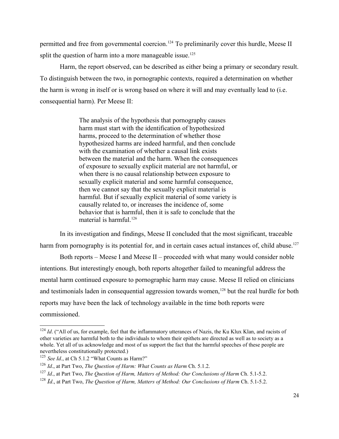permitted and free from governmental coercion.<sup>124</sup> To preliminarily cover this hurdle, Meese II split the question of harm into a more manageable issue.<sup>[125](#page-23-1)</sup>

Harm, the report observed, can be described as either being a primary or secondary result. To distinguish between the two, in pornographic contexts, required a determination on whether the harm is wrong in itself or is wrong based on where it will and may eventually lead to (i.e. consequential harm). Per Meese II:

> The analysis of the hypothesis that pornography causes harm must start with the identification of hypothesized harms, proceed to the determination of whether those hypothesized harms are indeed harmful, and then conclude with the examination of whether a causal link exists between the material and the harm. When the consequences of exposure to sexually explicit material are not harmful, or when there is no causal relationship between exposure to sexually explicit material and some harmful consequence, then we cannot say that the sexually explicit material is harmful. But if sexually explicit material of some variety is causally related to, or increases the incidence of, some behavior that is harmful, then it is safe to conclude that the material is harmful. $126$

In its investigation and findings, Meese II concluded that the most significant, traceable harm from pornography is its potential for, and in certain cases actual instances of, child abuse.<sup>[127](#page-23-3)</sup>

Both reports – Meese I and Meese II – proceeded with what many would consider noble intentions. But interestingly enough, both reports altogether failed to meaningful address the mental harm continued exposure to pornographic harm may cause. Meese II relied on clinicians and testimonials laden in consequential aggression towards women,<sup>[128](#page-23-4)</sup> but the real hurdle for both reports may have been the lack of technology available in the time both reports were commissioned.

<span id="page-23-0"></span><sup>&</sup>lt;sup>124</sup> Id. ("All of us, for example, feel that the inflammatory utterances of Nazis, the Ku Klux Klan, and racists of other varieties are harmful both to the individuals to whom their epithets are directed as well as to society as a whole. Yet all of us acknowledge and most of us support the fact that the harmful speeches of these people are nevertheless constitutionally protected.)

<span id="page-23-1"></span><sup>&</sup>lt;sup>125</sup> *See Id.*, at Ch 5.1.2 "What Counts as Harm?"

<span id="page-23-2"></span><sup>&</sup>lt;sup>126</sup> *Id.*, at Part Two, *The Question of Harm: What Counts as Harm* Ch. 5.1.2.

<span id="page-23-3"></span><sup>127</sup> *Id*., at Part Two, *The Question of Harm, Matters of Method: Our Conclusions of Harm* Ch. 5.1-5.2.

<span id="page-23-4"></span><sup>128</sup> *Id*., at Part Two, *The Question of Harm, Matters of Method: Our Conclusions of Harm* Ch. 5.1-5.2.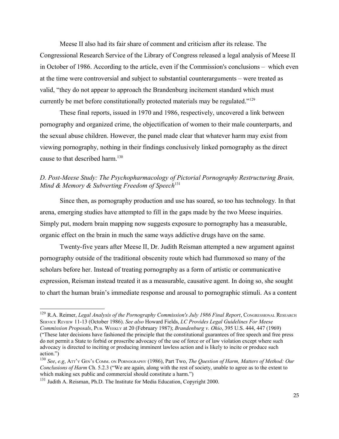Meese II also had its fair share of comment and criticism after its release. The Congressional Research Service of the Library of Congress released a legal analysis of Meese II in October of 1986. According to the article, even if the Commission's conclusions – which even at the time were controversial and subject to substantial counterarguments – were treated as valid, "they do not appear to approach the Brandenburg incitement standard which must currently be met before constitutionally protected materials may be regulated."[129](#page-24-0)

These final reports, issued in 1970 and 1986, respectively, uncovered a link between pornography and organized crime, the objectification of women to their male counterparts, and the sexual abuse children. However, the panel made clear that whatever harm may exist from viewing pornography, nothing in their findings conclusively linked pornography as the direct cause to that described harm.<sup>[130](#page-24-1)</sup>

## *D. Post-Meese Study: The Psychopharmacology of Pictorial Pornography Restructuring Brain, Mind & Memory & Subverting Freedom of Speech*<sup>[131](#page-24-2)</sup>

Since then, as pornography production and use has soared, so too has technology. In that arena, emerging studies have attempted to fill in the gaps made by the two Meese inquiries. Simply put, modern brain mapping now suggests exposure to pornography has a measurable, organic effect on the brain in much the same ways addictive drugs have on the same.

Twenty-five years after Meese II, Dr. Judith Reisman attempted a new argument against pornography outside of the traditional obscenity route which had flummoxed so many of the scholars before her. Instead of treating pornography as a form of artistic or communicative expression, Reisman instead treated it as a measurable, causative agent. In doing so, she sought to chart the human brain's immediate response and arousal to pornographic stimuli. As a content

<span id="page-24-0"></span><sup>&</sup>lt;sup>129</sup> R.A. Reimer, *Legal Analysis of the Pornography Commission's July 1986 Final Report*, Congressional RESEARCH SERVICE REVIEW 11-13 (October 1986). *See also* Howard Fields, *LC Provides Legal Guidelines For Meese Commission Proposals*, PUB. WEEKLY at 20 (February 1987); *Brandenburg v. Ohio*, 395 U.S. 444, 447 (1969) ("These later decisions have fashioned the principle that the constitutional guarantees of free speech and free press do not permit a State to forbid or proscribe advocacy of the use of force or of law violation except where such advocacy is directed to inciting or producing imminent lawless action and is likely to incite or produce such action.")

<span id="page-24-1"></span><sup>130</sup> *See*, *e.g*, ATT'Y GEN'S COMM. ON PORNOGRAPHY (1986), Part Two, *The Question of Harm, Matters of Method: Our Conclusions of Harm* Ch. 5.2.3 ("We are again, along with the rest of society, unable to agree as to the extent to which making sex public and commercial should constitute a harm.")

<span id="page-24-2"></span><sup>&</sup>lt;sup>131</sup> Judith A. Reisman, Ph.D. The Institute for Media Education, Copyright 2000.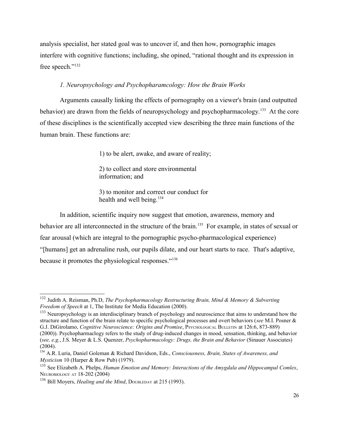analysis specialist, her stated goal was to uncover if, and then how, pornographic images interfere with cognitive functions; including, she opined, "rational thought and its expression in free speech."<sup>[132](#page-25-0)</sup>

### *1. Neuropsychology and Psychopharamcology: How the Brain Works*

Arguments causally linking the effects of pornography on a viewer's brain (and outputted behavior) are drawn from the fields of neuropsychology and psychopharmacology.<sup>[133](#page-25-1)</sup> At the core of these disciplines is the scientifically accepted view describing the three main functions of the human brain. These functions are:

1) to be alert, awake, and aware of reality;

2) to collect and store environmental information; and

3) to monitor and correct our conduct for health and well being.<sup>[134](#page-25-2)</sup>

In addition, scientific inquiry now suggest that emotion, awareness, memory and behavior are all interconnected in the structure of the brain.<sup>[135](#page-25-3)</sup> For example, in states of sexual or fear arousal (which are integral to the pornographic psycho-pharmacological experience) "[humans] get an adrenaline rush, our pupils dilate, and our heart starts to race. That's adaptive, because it promotes the physiological responses."[136](#page-25-4)

<span id="page-25-0"></span><sup>132</sup> Judith A. Reisman, Ph.D, *The Psychopharmacology Restructuring Brain, Mind & Memory & Subverting Freedom of Speech* at 1, The Institute for Media Education (2000).

<span id="page-25-1"></span><sup>&</sup>lt;sup>133</sup> Neuropsychology is an interdisciplinary branch of psychology and neuroscience that aims to understand how the structure and function of the brain relate to specific psychological processes and overt behaviors (*see* M.I. Posner & G.J. DiGirolamo, *Cognitive Neuroscience: Origins and Promise*, PSYCHOLOGICAL BULLETIN at 126:6, 873-889) (2000)). Psychopharmaclogy refers to the study of drug-induced changes in mood, sensation, thinking, and behavior (*see, e.g.*, J.S. Meyer & L.S. Quenzer, *Psychopharmacology: Drugs, the Brain and Behavior* (Sinauer Associates) (2004).

<span id="page-25-2"></span><sup>134</sup> A.R. Luria, Daniel Goleman & Richard Davidson, Eds., *Consciousness, Brain, States of Awareness, and Mysticism* 10 (Harper & Row Pub) (1979).

<span id="page-25-3"></span><sup>135</sup> See Elizabeth A. Phelps, *Human Emotion and Memory: Interactions of the Amygdala and Hippocampal Comlex*, NEUROBIOLOGY AT 18-202 (2004)

<span id="page-25-4"></span><sup>&</sup>lt;sup>136</sup> Bill Moyers, *Healing and the Mind*, DOUBLEDAY at 215 (1993).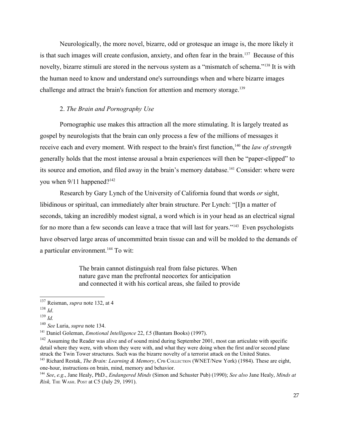Neurologically, the more novel, bizarre, odd or grotesque an image is, the more likely it is that such images will create confusion, anxiety, and often fear in the brain.<sup>[137](#page-26-0)</sup> Because of this novelty, bizarre stimuli are stored in the nervous system as a "mismatch of schema."[138](#page-26-1) It is with the human need to know and understand one's surroundings when and where bizarre images challenge and attract the brain's function for attention and memory storage.<sup>[139](#page-26-2)</sup>

### 2. *The Brain and Pornography Use*

Pornographic use makes this attraction all the more stimulating. It is largely treated as gospel by neurologists that the brain can only process a few of the millions of messages it receive each and every moment. With respect to the brain's first function,<sup>[140](#page-26-3)</sup> the *law of strength* generally holds that the most intense arousal a brain experiences will then be "paper-clipped" to its source and emotion, and filed away in the brain's memory database.<sup>[141](#page-26-4)</sup> Consider: where were you when 9/11 happened?<sup>[142](#page-26-5)</sup>

Research by Gary Lynch of the University of California found that words *or* sight, libidinous or spiritual, can immediately alter brain structure. Per Lynch: "[I]n a matter of seconds, taking an incredibly modest signal, a word which is in your head as an electrical signal for no more than a few seconds can leave a trace that will last for years."[143](#page-26-6) Even psychologists have observed large areas of uncommitted brain tissue can and will be molded to the demands of a particular environment.[144](#page-26-7) To wit:

> The brain cannot distinguish real from false pictures. When nature gave man the prefrontal neocortex for anticipation and connected it with his cortical areas, she failed to provide

<span id="page-26-7"></span><sup>144</sup> *See*, *e.g*., Jane Healy, PhD., *Endangered Minds* (Simon and Schuster Pub) (1990); *See also* Jane Healy, *Minds at Risk, THE WASH. POST at C5 (July 29, 1991).* 

<span id="page-26-0"></span><sup>137</sup> Reisman, *supra* note 132, at 4

<span id="page-26-1"></span><sup>138</sup> *Id*.

<span id="page-26-2"></span><sup>139</sup> *Id.*

<span id="page-26-3"></span><sup>140</sup> *See* Luria, *supra* note 134.

<span id="page-26-4"></span><sup>141</sup> Daniel Goleman, *Emotional Intelligence* 22, f.5 (Bantam Books) (1997).

<span id="page-26-5"></span><sup>&</sup>lt;sup>142</sup> Assuming the Reader was alive and of sound mind during September 2001, most can articulate with specific detail where they were, with whom they were with, and what they were doing when the first and/or second plane struck the Twin Tower structures. Such was the bizarre novelty of a terrorist attack on the United States.

<span id="page-26-6"></span><sup>143</sup> Richard Restak, *The Brain: Learning & Memory*, CPB COLLECTION (WNET/New York) (1984). These are eight, one-hour, instructions on brain, mind, memory and behavior.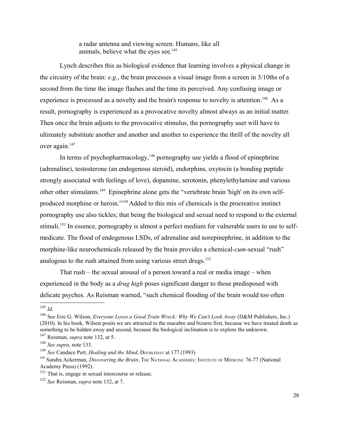a radar antenna and viewing screen. Humans, like all animals, believe what the eyes see. $145$ 

Lynch describes this as biological evidence that learning involves a physical change in the circuitry of the brain: *e.g*., the brain processes a visual image from a screen in 3/10ths of a second from the time the image flashes and the time its perceived. Any confusing image or experience is processed as a novelty and the brain's response to novelty is attention.<sup>[146](#page-27-1)</sup> As a result, pornography is experienced as a provocative novelty almost always as an initial matter. Then once the brain adjusts to the provocative stimulus, the pornography user will have to ultimately substitute another and another and another to experience the thrill of the novelty all over again.<sup>[147](#page-27-2)</sup>

In terms of psychopharmacology, $148$  pornography use yields a flood of epinephrine (adrenaline), testosterone (an endogenous steroid), endorphins, oxytocin (a bonding peptide strongly associated with feelings of love), dopamine, serotonin, phenylethylamine and various other other stimulants.[149](#page-27-4) Epinephrine alone gets the "vertebrate brain 'high' on its own selfproduced morphine or heroin."[150](#page-27-5) Added to this mix of chemicals is the procreative instinct pornography use also tickles; that being the biological and sexual need to respond to the external stimuli.<sup>[151](#page-27-6)</sup> In essence, pornography is almost a perfect medium for vulnerable users to use to selfmedicate. The flood of endogenous LSDs, of adrenaline and norepinephrine, in addition to the morphine-like neurochemicals released by the brain provides a chemical-*cum*-sexual "rush" analogous to the rush attained from using various street drugs.<sup>[152](#page-27-7)</sup>

That rush – the sexual arousal of a person toward a real or media image – when experienced in the body as a *drug high* poses significant danger to those predisposed with delicate psyches. As Reisman warned, "such chemical flooding of the brain would too often

<span id="page-27-0"></span><sup>145</sup> *Id*.

<span id="page-27-1"></span><sup>146</sup> See Eric G. Wilson, *Everyone Loves a Good Train Wreck: Why We Can't Look Away* (D&M Publishers, Inc.) (2010). In his book, Wilson posits we are attracted to the macabre and bizarre first, because we have treated death as something to be hidden away and second, because the biological inclination is to explore the unknown.

<span id="page-27-2"></span><sup>147</sup> Reisman, *supra* note 132, at 5.

<span id="page-27-3"></span><sup>148</sup> *See supra*, note 133.

<span id="page-27-4"></span><sup>&</sup>lt;sup>149</sup> *See* Candace Pert, *Healing and the Mind*, DOUBLEDAY at 177 (1993)

<span id="page-27-5"></span><sup>150</sup> Sandra Ackerman, *Discovering the Brain*, The NATIONAL ACADEMIES: INSTITUTE OF MEDICINE 76-77 (National Academy Press) (1992).

<span id="page-27-6"></span><sup>&</sup>lt;sup>151</sup> That is, engage in sexual intercourse or release.

<span id="page-27-7"></span><sup>152</sup> *See* Reisman, *supra* note 132, at 7.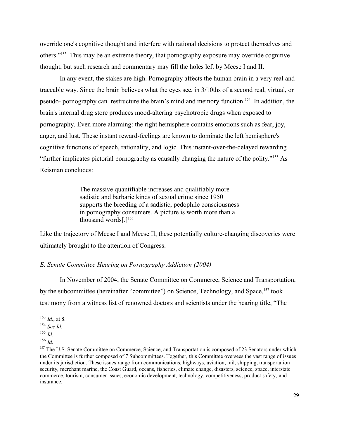override one's cognitive thought and interfere with rational decisions to protect themselves and others."[153](#page-28-0) This may be an extreme theory, that pornography exposure may override cognitive thought, but such research and commentary may fill the holes left by Meese I and II.

In any event, the stakes are high. Pornography affects the human brain in a very real and traceable way. Since the brain believes what the eyes see, in 3/10ths of a second real, virtual, or pseudo- pornography can restructure the brain's mind and memory function.[154](#page-28-1) In addition, the brain's internal drug store produces mood-altering psychotropic drugs when exposed to pornography. Even more alarming: the right hemisphere contains emotions such as fear, joy, anger, and lust. These instant reward-feelings are known to dominate the left hemisphere's cognitive functions of speech, rationality, and logic. This instant-over-the-delayed rewarding "further implicates pictorial pornography as causally changing the nature of the polity."[155](#page-28-2) As Reisman concludes:

> The massive quantifiable increases and qualifiably more sadistic and barbaric kinds of sexual crime since 1950 supports the breeding of a sadistic, pedophile consciousness in pornography consumers. A picture is worth more than a thousand words[.][156](#page-28-3)

Like the trajectory of Meese I and Meese II, these potentially culture-changing discoveries were ultimately brought to the attention of Congress.

### *E. Senate Committee Hearing on Pornography Addiction (2004)*

In November of 2004, the Senate Committee on Commerce, Science and Transportation, by the subcommittee (hereinafter "committee") on Science, Technology, and Space,<sup>[157](#page-28-4)</sup> took testimony from a witness list of renowned doctors and scientists under the hearing title, "The

<span id="page-28-0"></span><sup>153</sup> *Id*., at 8.

<span id="page-28-1"></span><sup>154</sup> *See Id*.

<span id="page-28-2"></span><sup>155</sup> *Id.*

<span id="page-28-3"></span> $^{156}$  *Id.* 

<span id="page-28-4"></span><sup>&</sup>lt;sup>157</sup> The U.S. Senate Committee on Commerce, Science, and Transportation is composed of 23 Senators under which the Committee is further composed of 7 Subcommittees. Together, this Committee oversees the vast range of issues under its jurisdiction. These issues range from communications, highways, aviation, rail, shipping, transportation security, merchant marine, the Coast Guard, oceans, fisheries, climate change, disasters, science, space, interstate commerce, tourism, consumer issues, economic development, technology, competitiveness, product safety, and insurance.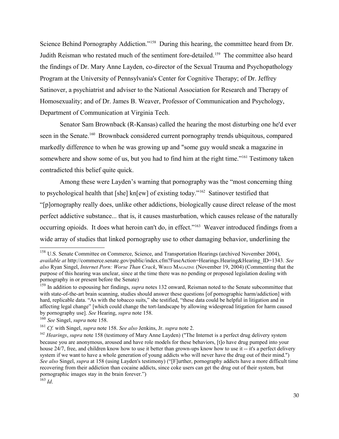Science Behind Pornography Addiction."[158](#page-29-0) During this hearing, the committee heard from Dr. Judith Reisman who restated much of the sentiment fore-detailed.[159](#page-29-1) The committee also heard the findings of Dr. Mary Anne Layden, co-director of the Sexual Trauma and Psychopathology Program at the University of Pennsylvania's Center for Cognitive Therapy; of Dr. Jeffrey Satinover, a psychiatrist and adviser to the National Association for Research and Therapy of Homosexuality; and of Dr. James B. Weaver, Professor of Communication and Psychology, Department of Communication at Virginia Tech.

Senator Sam Brownback (R-Kansas) called the hearing the most disturbing one he'd ever seen in the Senate.<sup>[160](#page-29-2)</sup> Brownback considered current pornography trends ubiquitous, compared markedly difference to when he was growing up and "some guy would sneak a magazine in somewhere and show some of us, but you had to find him at the right time."<sup>[161](#page-29-3)</sup> Testimony taken contradicted this belief quite quick.

Among these were Layden's warning that pornography was the "most concerning thing to psychological health that [she] kn[ew] of existing today."[162](#page-29-4) Satinover testified that "[p]ornography really does, unlike other addictions, biologically cause direct release of the most perfect addictive substance... that is, it causes masturbation, which causes release of the naturally occurring opioids. It does what heroin can't do, in effect."[163](#page-29-5) Weaver introduced findings from a wide array of studies that linked pornography use to other damaging behavior, underlining the

<span id="page-29-0"></span><sup>&</sup>lt;sup>158</sup> U.S. Senate Committee on Commerce, Science, and Transportation Hearings (archived November 2004), *available at* http://commerce.senate.gov/public/index.cfm?FuseAction=Hearings.Hearing&Hearing\_ID=1343. *See also* Ryan Singel, *Internet Porn: Worse Than Crack*, WIRED MAGAZINE (November 19, 2004) (Commenting that the purpose of this hearing was unclear, since at the time there was no pending or proposed legislation dealing with pornography in or present before the Senate)

<span id="page-29-1"></span><sup>159</sup> In addition to espousing her findings, *supra* notes 132 onward, Reisman noted to the Senate subcommittee that with state-of-the-art brain scanning, studies should answer these questions [of pornographic harm/addiction] with hard, replicable data. "As with the tobacco suits," she testified, "these data could be helpful in litigation and in affecting legal change" [which could change the tort-landscape by allowing widespread litigation for harm caused by pornography use]. *See* Hearing, *supra* note 158.

<span id="page-29-2"></span><sup>160</sup> *See* Singel, *supra* note 158.

<span id="page-29-3"></span><sup>161</sup> *Cf.* with Singel, *supra* note 158. *See also* Jenkins, Jr. *supra* note 2.

<span id="page-29-4"></span><sup>162</sup> *Hearings*, *supra* note 158 (testimony of Mary Anne Layden) ("The Internet is a perfect drug delivery system because you are anonymous, aroused and have role models for these behaviors, [t]o have drug pumped into your house 24/7, free, and children know how to use it better than grown-ups know how to use it -- it's a perfect delivery system if we want to have a whole generation of young addicts who will never have the drug out of their mind.") *See also* Singel, *supra* at 158 (using Layden's testimony) ("[F]urther, pornography addicts have a more difficult time recovering from their addiction than cocaine addicts, since coke users can get the drug out of their system, but pornographic images stay in the brain forever.")

<span id="page-29-5"></span> $163$  *Id*.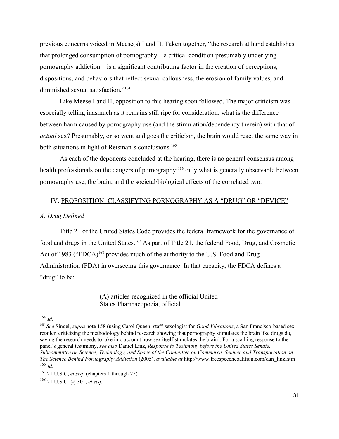previous concerns voiced in Meese(s) I and II. Taken together, "the research at hand establishes that prolonged consumption of pornography – a critical condition presumably underlying pornography addiction – is a significant contributing factor in the creation of perceptions, dispositions, and behaviors that reflect sexual callousness, the erosion of family values, and diminished sexual satisfaction."[164](#page-30-0)

Like Meese I and II, opposition to this hearing soon followed. The major criticism was especially telling inasmuch as it remains still ripe for consideration: what is the difference between harm caused by pornography use (and the stimulation/dependency therein) with that of *actual* sex? Presumably, or so went and goes the criticism, the brain would react the same way in both situations in light of Reisman's conclusions.<sup>[165](#page-30-1)</sup>

As each of the deponents concluded at the hearing, there is no general consensus among health professionals on the dangers of pornography;<sup>[166](#page-30-2)</sup> only what is generally observable between pornography use, the brain, and the societal/biological effects of the correlated two.

## IV. PROPOSITION: CLASSIFYING PORNOGRAPHY AS A "DRUG" OR "DEVICE"

### *A. Drug Defined*

Title 21 of the United States Code provides the federal framework for the governance of food and drugs in the United States.<sup>[167](#page-30-3)</sup> As part of Title 21, the federal Food, Drug, and Cosmetic Act of 1983 ("FDCA)<sup>[168](#page-30-4)</sup> provides much of the authority to the U.S. Food and Drug Administration (FDA) in overseeing this governance. In that capacity, the FDCA defines a "drug" to be:

> (A) articles recognized in the official United States Pharmacopoeia, official

<span id="page-30-1"></span><sup>165</sup> *See* Singel, *supra* note 158 (using Carol Queen, staff-sexologist for *Good Vibrations*, a San Francisco-based sex retailer, criticizing the methodology behind research showing that pornography stimulates the brain like drugs do, saying the research needs to take into account how sex itself stimulates the brain). For a scathing response to the panel's general testimony, *see also* Daniel Linz, *Response to Testimony before the United States Senate, Subcommittee on Science, Technology, and Space of the Committee on Commerce, Science and Transportation on The Science Behind Pornography Addiction* (2005), *available at* http://www.freespeechcoalition.com/dan\_linz.htm <sup>166</sup> *Id*.

<span id="page-30-0"></span><sup>164</sup> *Id*.

<span id="page-30-3"></span><span id="page-30-2"></span><sup>167</sup> 21 U.S.C, *et seq*. (chapters 1 through 25)

<span id="page-30-4"></span><sup>168</sup> 21 U.S.C. §§ 301, *et seq*.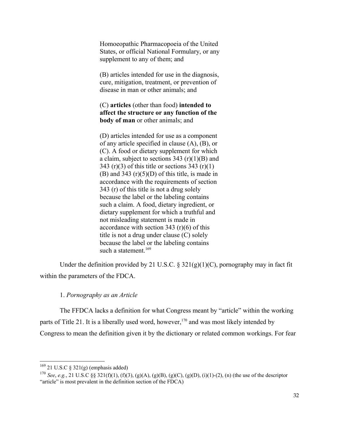Homoeopathic Pharmacopoeia of the United States, or official National Formulary, or any supplement to any of them; and

(B) articles intended for use in the diagnosis, cure, mitigation, treatment, or prevention of disease in man or other animals; and

(C) **articles** (other than food) **intended to affect the structure or any function of the body of man** or other animals; and

(D) articles intended for use as a component of any article specified in clause (A), (B), or (C). A food or dietary supplement for which a claim, subject to sections  $343 \text{ (r)}(1)(B)$  and 343 (r)(3) of this title or sections  $343$  (r)(1) (B) and 343  $(r)(5)(D)$  of this title, is made in accordance with the requirements of section 343 (r) of this title is not a drug solely because the label or the labeling contains such a claim. A food, dietary ingredient, or dietary supplement for which a truthful and not misleading statement is made in accordance with section 343 (r)(6) of this title is not a drug under clause (C) solely because the label or the labeling contains such a statement.<sup>[169](#page-31-0)</sup>

Under the definition provided by 21 U.S.C.  $\S$  321(g)(1)(C), pornography may in fact fit within the parameters of the FDCA.

## 1. *Pornography as an Article*

The FFDCA lacks a definition for what Congress meant by "article" within the working parts of Title 21. It is a liberally used word, however,<sup>[170](#page-31-1)</sup> and was most likely intended by Congress to mean the definition given it by the dictionary or related common workings. For fear

<span id="page-31-0"></span> $169$  21 U.S.C § 321(g) (emphasis added)

<span id="page-31-1"></span><sup>170</sup> *See*, *e.g.*, 21 U.S.C §§ 321(f)(1), (f)(3), (g)(A), (g)(B), (g)(C), (g)(D), (i)(1)-(2), (n) (the use of the descriptor "article" is most prevalent in the definition section of the FDCA)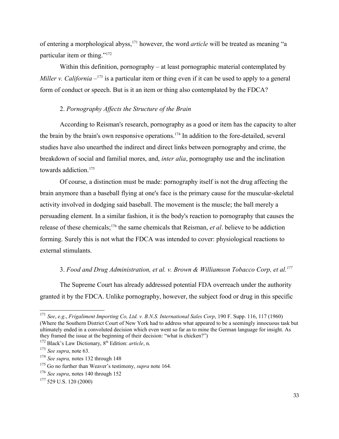of entering a morphological abyss,[171](#page-32-0) however, the word *article* will be treated as meaning "a particular item or thing."[172](#page-32-1)

Within this definition, pornography – at least pornographic material contemplated by *Miller v. California* –<sup>[173](#page-32-2)</sup> is a particular item or thing even if it can be used to apply to a general form of conduct or speech. But is it an item or thing also contemplated by the FDCA?

#### 2. *Pornography Affects the Structure of the Brain*

According to Reisman's research, pornography as a good or item has the capacity to alter the brain by the brain's own responsive operations.[174](#page-32-3) In addition to the fore-detailed, several studies have also unearthed the indirect and direct links between pornography and crime, the breakdown of social and familial mores, and, *inter alia*, pornography use and the inclination towards addiction.<sup>[175](#page-32-4)</sup>

Of course, a distinction must be made: pornography itself is not the drug affecting the brain anymore than a baseball flying at one's face is the primary cause for the muscular-skeletal activity involved in dodging said baseball. The movement is the muscle; the ball merely a persuading element. In a similar fashion, it is the body's reaction to pornography that causes the release of these chemicals;[176](#page-32-5) the same chemicals that Reisman, *et al*. believe to be addiction forming. Surely this is not what the FDCA was intended to cover: physiological reactions to external stimulants.

## 3. *Food and Drug Administration, et al. v. Brown & Williamson Tobacco Corp, et al.[177](#page-32-6)*

The Supreme Court has already addressed potential FDA overreach under the authority granted it by the FDCA. Unlike pornography, however, the subject food or drug in this specific

<span id="page-32-0"></span><sup>171</sup> *See*, *e.g*., *Frigaliment Importing Co, Ltd. v. B.N.S. International Sales Corp*, 190 F. Supp. 116, 117 (1960) (Where the Southern District Court of New York had to address what appeared to be a seemingly innocuous task but ultimately ended in a convoluted decision which even went so far as to mine the German language for insight. As they framed the issue at the beginning of their decision: "what is chicken?")

<span id="page-32-1"></span><sup>&</sup>lt;sup>172</sup> Black's Law Dictionary, 8<sup>th</sup> Edition: *article*, n.

<span id="page-32-2"></span><sup>173</sup> *See supra*, note 63.

<span id="page-32-3"></span><sup>174</sup> *See supra,* notes 132 through 148

<span id="page-32-4"></span><sup>175</sup> Go no further than Weaver's testimony, *supra* note 164.

<span id="page-32-5"></span><sup>176</sup> *See supra*, notes 140 through 152

<span id="page-32-6"></span> $177$  529 U.S. 120 (2000)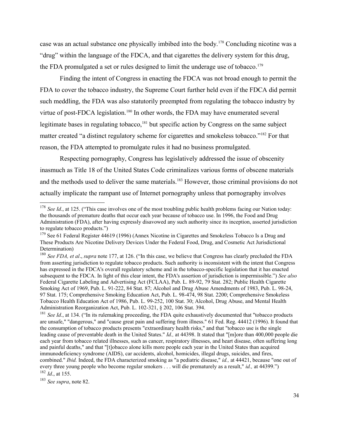case was an actual substance one physically imbibed into the body.[178](#page-33-0) Concluding nicotine was a "drug" within the language of the FDCA, and that cigarettes the delivery system for this drug, the FDA promulgated a set or rules designed to limit the underage use of tobacco.<sup>[179](#page-33-1)</sup>

Finding the intent of Congress in enacting the FDCA was not broad enough to permit the FDA to cover the tobacco industry, the Supreme Court further held even if the FDCA did permit such meddling, the FDA was also statutorily preempted from regulating the tobacco industry by virtue of post-FDCA legislation.<sup>[180](#page-33-2)</sup> In other words, the FDA may have enumerated several legitimate bases in regulating tobacco,<sup>[181](#page-33-3)</sup> but specific action by Congress on the same subject matter created "a distinct regulatory scheme for cigarettes and smokeless tobacco."[182](#page-33-4) For that reason, the FDA attempted to promulgate rules it had no business promulgated.

Respecting pornography, Congress has legislatively addressed the issue of obscenity inasmuch as Title 18 of the United States Code criminalizes various forms of obscene materials and the methods used to deliver the same materials.<sup>[183](#page-33-5)</sup> However, those criminal provisions do not actually implicate the rampant use of Internet pornography unless that pornography involves

<span id="page-33-5"></span><span id="page-33-4"></span><sup>183</sup> *See supra*, note 82.

<span id="page-33-0"></span><sup>&</sup>lt;sup>178</sup> *See Id.*, at 125. ("This case involves one of the most troubling public health problems facing our Nation today: the thousands of premature deaths that occur each year because of tobacco use. In 1996, the Food and Drug Administration (FDA), after having expressly disavowed any such authority since its inception, asserted jurisdiction to regulate tobacco products.")

<span id="page-33-1"></span><sup>&</sup>lt;sup>179</sup> See 61 Federal Register 44619 (1996) (Annex Nicotine in Cigarettes and Smokeless Tobacco Is a Drug and These Products Are Nicotine Delivery Devices Under the Federal Food, Drug, and Cosmetic Act Jurisdictional Determination)

<span id="page-33-2"></span><sup>180</sup> *See FDA, et al*., *supra* note 177, at 126. ("In this case, we believe that Congress has clearly precluded the FDA from asserting jurisdiction to regulate tobacco products. Such authority is inconsistent with the intent that Congress has expressed in the FDCA's overall regulatory scheme and in the tobacco-specific legislation that it has enacted subsequent to the FDCA. In light of this clear intent, the FDA's assertion of jurisdiction is impermissible.") *See also* Federal Cigarette Labeling and Advertising Act (FCLAA), Pub. L. 89-92, 79 Stat. 282; Public Health Cigarette Smoking Act of 1969, Pub. L. 91-222, 84 Stat. 87; Alcohol and Drug Abuse Amendments of 1983, Pub. L. 98-24, 97 Stat. 175; Comprehensive Smoking Education Act, Pub. L. 98-474, 98 Stat. 2200; Comprehensive Smokeless Tobacco Health Education Act of 1986, Pub. L. 99-252, 100 Stat. 30; Alcohol, Drug Abuse, and Mental Health Administration Reorganization Act, Pub. L. 102-321, § 202, 106 Stat. 394.

<span id="page-33-3"></span><sup>&</sup>lt;sup>181</sup> *See Id.*, at 134. ("In its rulemaking proceeding, the FDA quite exhaustively documented that "tobacco products" are unsafe," "dangerous," and "cause great pain and suffering from illness." 61 Fed. Reg. 44412 (1996). It found that the consumption of tobacco products presents "extraordinary health risks," and that "tobacco use is the single leading cause of preventable death in the United States." *Id.,* at 44398. It stated that "[m]ore than 400,000 people die each year from tobacco related illnesses, such as cancer, respiratory illnesses, and heart disease, often suffering long and painful deaths," and that "[t]obacco alone kills more people each year in the United States than acquired immunodeficiency syndrome (AIDS), car accidents, alcohol, homicides, illegal drugs, suicides, and fires, combined." *Ibid.* Indeed, the FDA characterized smoking as "a pediatric disease," *id.,* at 44421, because "one out of every three young people who become regular smokers . . . will die prematurely as a result," *id.,* at 44399.") <sup>182</sup> *Id*., at 155.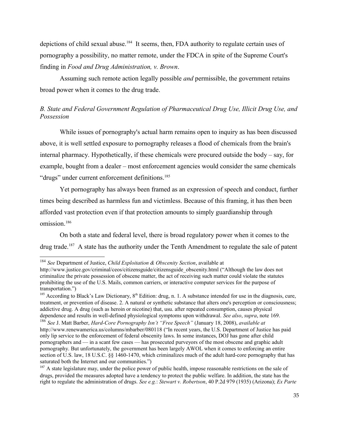depictions of child sexual abuse.<sup>[184](#page-34-0)</sup> It seems, then, FDA authority to regulate certain uses of pornography a possibility, no matter remote, under the FDCA in spite of the Supreme Court's finding in *Food and Drug Administration, v. Brown*.

Assuming such remote action legally possible *and* permissible, the government retains broad power when it comes to the drug trade.

# *B. State and Federal Government Regulation of Pharmaceutical Drug Use, Illicit Drug Use, and Possession*

While issues of pornography's actual harm remains open to inquiry as has been discussed above, it is well settled exposure to pornography releases a flood of chemicals from the brain's internal pharmacy. Hypothetically, if these chemicals were procured outside the body – say, for example, bought from a dealer – most enforcement agencies would consider the same chemicals "drugs" under current enforcement definitions.<sup>[185](#page-34-1)</sup>

Yet pornography has always been framed as an expression of speech and conduct, further times being described as harmless fun and victimless. Because of this framing, it has then been afforded vast protection even if that protection amounts to simply guardianship through omission.<sup>[186](#page-34-2)</sup>

On both a state and federal level, there is broad regulatory power when it comes to the drug trade.<sup>[187](#page-34-3)</sup> A state has the authority under the Tenth Amendment to regulate the sale of patent

<span id="page-34-0"></span><sup>184</sup> *See* Department of Justice, *Child Exploitation & Obscenity Section*, available at

http://www.justice.gov/criminal/ceos/citizensguide/citizensguide\_obscenity.html ("Although the law does not criminalize the private possession of obscene matter, the act of receiving such matter could violate the statutes prohibiting the use of the U.S. Mails, common carriers, or interactive computer services for the purpose of transportation.")

<span id="page-34-1"></span> $185$  According to Black's Law Dictionary,  $8<sup>th</sup>$  Edition: drug, n. 1. A substance intended for use in the diagnosis, cure, treatment, or prevention of disease. 2. A natural or synthetic substance that alters one's perception or consciousness; addictive drug. A drug (such as heroin or nicotine) that, usu. after repeated consumption, causes physical dependence and results in well-defined physiological symptoms upon withdrawal. *See also*, *supra*, note 169.

<span id="page-34-2"></span><sup>186</sup> *See* J. Matt Barber, *Hard-Core Pornography Isn't "Free Speech"* (January 18, 2008), *available at* http://www.renewamerica.us/columns/mbarber/080118 ("In recent years, the U.S. Department of Justice has paid only lip service to the enforcement of federal obscenity laws. In some instances, DOJ has gone after child pornographers and — in a scant few cases — has prosecuted purveyors of the most obscene and graphic adult pornography. But unfortunately, the government has been largely AWOL when it comes to enforcing an entire section of U.S. law, 18 U.S.C. §§ 1460-1470, which criminalizes much of the adult hard-core pornography that has saturated both the Internet and our communities.")

<span id="page-34-3"></span> $187$  A state legislature may, under the police power of public health, impose reasonable restrictions on the sale of drugs, provided the measures adopted have a tendency to protect the public welfare. In addition, the state has the right to regulate the administration of drugs. *See e.g.*: *Stewart v. Robertson*, 40 P.2d 979 (1935) (Arizona); *Ex Parte*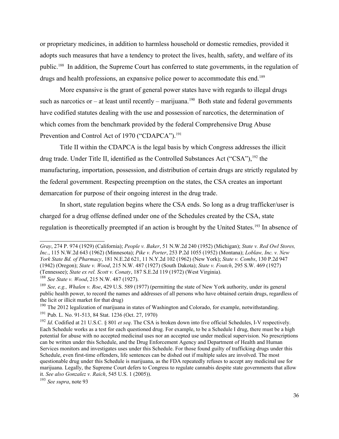or proprietary medicines, in addition to harmless household or domestic remedies, provided it adopts such measures that have a tendency to protect the lives, health, safety, and welfare of its public.[188](#page-35-0) In addition, the Supreme Court has conferred to state governments, in the regulation of drugs and health professions, an expansive police power to accommodate this end.<sup>[189](#page-35-1)</sup>

More expansive is the grant of general power states have with regards to illegal drugs such as narcotics or – at least until recently – marijuana.<sup>[190](#page-35-2)</sup> Both state and federal governments have codified statutes dealing with the use and possession of narcotics, the determination of which comes from the benchmark provided by the federal Comprehensive Drug Abuse Prevention and Control Act of 1970 ("CDAPCA").<sup>[191](#page-35-3)</sup>

Title II within the CDAPCA is the legal basis by which Congress addresses the illicit drug trade. Under Title II, identified as the Controlled Substances Act ("CSA"),  $192$  the manufacturing, importation, possession, and distribution of certain drugs are strictly regulated by the federal government. Respecting preemption on the states, the CSA creates an important demarcation for purpose of their ongoing interest in the drug trade.

In short, state regulation begins where the CSA ends. So long as a drug trafficker/user is charged for a drug offense defined under one of the Schedules created by the CSA, state regulation is theoretically preempted if an action is brought by the United States.[193](#page-35-5) In absence of

<span id="page-35-3"></span><sup>191</sup> Pub. L. No. 91-513, 84 Stat. 1236 (Oct. 27, 1970)

*Gray*, 274 P. 974 (1929) (California); *People v. Baker*, 51 N.W.2d 240 (1952) (Michigan); *State v. Red Owl Stores, Inc.*, 115 N.W.2d 643 (1962) (Minnesota); *Pike v. Porter*, 253 P.2d 1055 (1952) (Montana); *Loblaw, Inc. v. New York State Bd. of Pharmacy*, 181 N.E.2d 621, 11 N.Y.2d 102 (1962) (New York); *State v. Combs*, 130 P.2d 947 (1942) (Oregon); *State v. Wood*, 215 N.W. 487 (1927) (South Dakota); *State v. Foutch*, 295 S.W. 469 (1927) (Tennessee); *State ex rel. Scott v. Conaty*, 187 S.E.2d 119 (1972) (West Virginia).

<span id="page-35-0"></span><sup>188</sup> *See State v. Wood*, 215 N.W. 487 (1927).

<span id="page-35-1"></span><sup>189</sup> *See, e.g., Whalen v. Roe*, 429 U.S. 589 (1977) (permitting the state of New York authority, under its general public health power, to record the names and addresses of all persons who have obtained certain drugs, regardless of the licit or illicit market for that drug)

<span id="page-35-2"></span><sup>&</sup>lt;sup>190</sup> The 2012 legalization of marijuana in states of Washington and Colorado, for example, notwithstanding.

<span id="page-35-4"></span><sup>192</sup> *Id*. Codified at 21 U.S.C. § 801 *et seq*. The CSA is broken down into five official Schedules, I-V respectively. Each Schedule works as a test for each questioned drug. For example, to be a Schedule I drug, there must be a high potential for abuse with no accepted medicinal uses nor an accepted use under medical supervision. No prescriptions can be written under this Schedule, and the Drug Enforcement Agency and Department of Health and Human Services monitors and investigates uses under this Schedule. For those found guilty of trafficking drugs under this Schedule, even first-time offenders, life sentences can be dished out if multiple sales are involved. The most questionable drug under this Schedule is marijuana, as the FDA repeatedly refuses to accept any medicinal use for marijuana. Legally, the Supreme Court defers to Congress to regulate cannabis despite state governments that allow it. *See also Gonzalez v. Raich*, 545 U.S. 1 (2005)).

<span id="page-35-5"></span><sup>193</sup> *See supra*, note 93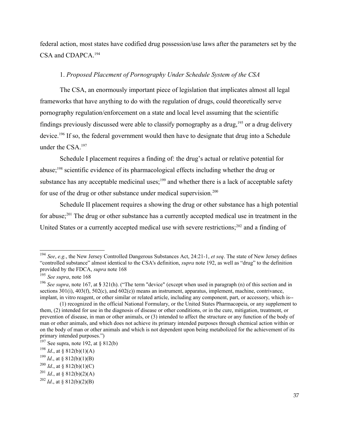federal action, most states have codified drug possession/use laws after the parameters set by the CSA and CDAPCA.[194](#page-36-0)

## 1. *Proposed Placement of Pornography Under Schedule System of the CSA*

The CSA, an enormously important piece of legislation that implicates almost all legal frameworks that have anything to do with the regulation of drugs, could theoretically serve pornography regulation/enforcement on a state and local level assuming that the scientific findings previously discussed were able to classify pornography as a drug,[195](#page-36-1) or a drug delivery device.[196](#page-36-2) If so, the federal government would then have to designate that drug into a Schedule under the CSA.[197](#page-36-3)

Schedule I placement requires a finding of: the drug's actual or relative potential for abuse;[198](#page-36-4) scientific evidence of its pharmacological effects including whether the drug or substance has any acceptable medicinal uses;<sup>[199](#page-36-5)</sup> and whether there is a lack of acceptable safety for use of the drug or other substance under medical supervision. $200$ 

Schedule II placement requires a showing the drug or other substance has a high potential for abuse;<sup>[201](#page-36-7)</sup> The drug or other substance has a currently accepted medical use in treatment in the United States or a currently accepted medical use with severe restrictions;<sup>[202](#page-36-8)</sup> and a finding of

<span id="page-36-0"></span><sup>194</sup> *See*, *e.g.*, the New Jersey Controlled Dangerous Substances Act, 24:21-1, *et seq*. The state of New Jersey defines "controlled substance" almost identical to the CSA's definition, *supra* note 192, as well as "drug" to the definition provided by the FDCA, *supra* note 168

<span id="page-36-1"></span><sup>195</sup> *See supra*, note 168

<span id="page-36-2"></span><sup>196</sup> *See supra*, note 167, at § 321(h). ("The term "device" (except when used in paragraph (n) of this section and in sections 301(i), 403(f), 502(c), and 602(c)) means an instrument, apparatus, implement, machine, contrivance, implant, in vitro reagent, or other similar or related article, including any component, part, or accessory, which is--

<sup>(1)</sup> recognized in the official National Formulary, or the United States Pharmacopeia, or any supplement to them, (2) intended for use in the diagnosis of disease or other conditions, or in the cure, mitigation, treatment, or prevention of disease, in man or other animals, or (3) intended to affect the structure or any function of the body of man or other animals, and which does not achieve its primary intended purposes through chemical action within or on the body of man or other animals and which is not dependent upon being metabolized for the achievement of its primary intended purposes.")

<span id="page-36-3"></span> $197$  See supra, note 192, at § 812(b)

<span id="page-36-4"></span><sup>&</sup>lt;sup>198</sup> *Id.*, at  $\S 812(b)(1)(A)$ 

<span id="page-36-5"></span> $199$  *Id.*, at § 812(b)(1)(B)

<span id="page-36-6"></span><sup>&</sup>lt;sup>200</sup> *Id.*, at § 812(b)(1)(C)

<span id="page-36-7"></span><sup>&</sup>lt;sup>201</sup> *Id.*, at § 812(b)(2)(A)

<span id="page-36-8"></span><sup>&</sup>lt;sup>202</sup> *Id.*, at § 812(b)(2)(B)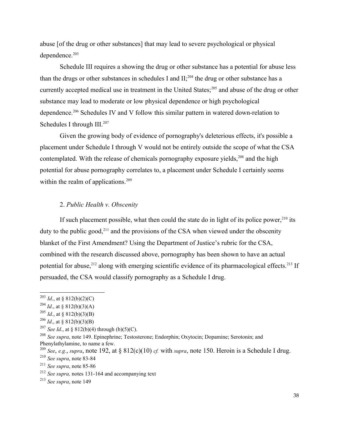abuse [of the drug or other substances] that may lead to severe psychological or physical dependence.<sup>[203](#page-37-0)</sup>

Schedule III requires a showing the drug or other substance has a potential for abuse less than the drugs or other substances in schedules I and  $II$ ;<sup>[204](#page-37-1)</sup> the drug or other substance has a currently accepted medical use in treatment in the United States;<sup>[205](#page-37-2)</sup> and abuse of the drug or other substance may lead to moderate or low physical dependence or high psychological dependence.[206](#page-37-3) Schedules IV and V follow this similar pattern in watered down-relation to Schedules I through III.<sup>[207](#page-37-4)</sup>

Given the growing body of evidence of pornography's deleterious effects, it's possible a placement under Schedule I through V would not be entirely outside the scope of what the CSA contemplated. With the release of chemicals pornography exposure yields,<sup>[208](#page-37-5)</sup> and the high potential for abuse pornography correlates to, a placement under Schedule I certainly seems within the realm of applications.<sup>[209](#page-37-6)</sup>

## 2. *Public Health v. Obscenity*

If such placement possible, what then could the state do in light of its police power,  $2^{10}$  its duty to the public good, $^{211}$  $^{211}$  $^{211}$  and the provisions of the CSA when viewed under the obscenity blanket of the First Amendment? Using the Department of Justice's rubric for the CSA, combined with the research discussed above, pornography has been shown to have an actual potential for abuse,<sup>[212](#page-37-9)</sup> along with emerging scientific evidence of its pharmacological effects.<sup>[213](#page-37-10)</sup> If persuaded, the CSA would classify pornography as a Schedule I drug.

<span id="page-37-0"></span><sup>&</sup>lt;sup>203</sup> *Id.*, at § 812(b)(2)(C)

<span id="page-37-1"></span><sup>&</sup>lt;sup>204</sup> *Id.*, at § 812(b)(3)(A)

<span id="page-37-2"></span> $^{205}$  *Id.*, at § 812(b)(3)(B)

<span id="page-37-3"></span> $^{206}$  *Id.*, at § 812(b)(3)(B)

<span id="page-37-4"></span><sup>&</sup>lt;sup>207</sup> *See Id.*, at § 812(b)(4) through (b)(5)(C).

<span id="page-37-5"></span><sup>208</sup> *See supra*, note 149. Epinephrine; Testosterone; Endorphin; Oxytocin; Dopamine; Serotonin; and Phenylathylamine, to name a few.

<span id="page-37-6"></span><sup>&</sup>lt;sup>209</sup> *See*, *e.g.*, *supra*, note 192, at § 812(c)(10) *cf.* with *supra*, note 150. Heroin is a Schedule I drug.

<span id="page-37-7"></span><sup>210</sup> *See supra*, note 83-84

<span id="page-37-8"></span><sup>211</sup> *See supra*, note 85-86

<span id="page-37-9"></span><sup>212</sup> *See supra,* notes 131-164 and accompanying text

<span id="page-37-10"></span><sup>213</sup> *See supra*, note 149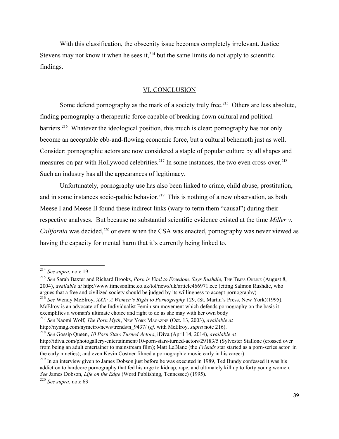With this classification, the obscenity issue becomes completely irrelevant. Justice Stevens may not know it when he sees it, $2^{14}$  but the same limits do not apply to scientific findings.

## VI. CONCLUSION

Some defend pornography as the mark of a society truly free.<sup>[215](#page-38-1)</sup> Others are less absolute, finding pornography a therapeutic force capable of breaking down cultural and political barriers.<sup>[216](#page-38-2)</sup> Whatever the ideological position, this much is clear: pornography has not only become an acceptable ebb-and-flowing economic force, but a cultural behemoth just as well. Consider: pornographic actors are now considered a staple of popular culture by all shapes and measures on par with Hollywood celebrities.<sup>[217](#page-38-3)</sup> In some instances, the two even cross-over.<sup>[218](#page-38-4)</sup> Such an industry has all the appearances of legitimacy.

Unfortunately, pornography use has also been linked to crime, child abuse, prostitution, and in some instances socio-pathic behavior.<sup>[219](#page-38-5)</sup> This is nothing of a new observation, as both Meese I and Meese II found these indirect links (wary to term them "causal") during their respective analyses. But because no substantial scientific evidence existed at the time *Miller v. California* was decided,<sup>[220](#page-38-6)</sup> or even when the CSA was enacted, pornography was never viewed as having the capacity for mental harm that it's currently being linked to.

<span id="page-38-6"></span><sup>220</sup> *See supra*, note 63

<span id="page-38-0"></span><sup>214</sup> *See supra*, note 19

<span id="page-38-2"></span><span id="page-38-1"></span><sup>&</sup>lt;sup>215</sup> See Sarah Baxter and Richard Brooks, *Porn is Vital to Freedom, Says Rushdie*, THE TIMES ONLINE (August 8, 2004), *available at* http://www.timesonline.co.uk/tol/news/uk/article466971.ece (citing Salmon Rushdie, who argues that a free and civilized society should be judged by its willingness to accept pornography) <sup>216</sup> *See* Wendy McElroy, *XXX: A Women's Right to Pornography* 129, (St. Martin's Press, New York)(1995). McElroy is an advocate of the Individualist Feminism movement which defends pornography on the basis it exemplifies a woman's ultimate choice and right to do as she may with her own body

<span id="page-38-3"></span><sup>217</sup> *See* Naomi Wolf, *The Porn Myth*, NEW YORK MAGAZINE (Oct. 13, 2003), *available at* http://nymag.com/nymetro/news/trends/n\_9437/ (*cf*. with McElroy, *supra* note 216).

<span id="page-38-4"></span><sup>218</sup> *See* Gossip Queen, *10 Porn Stars Turned Actors*, iDiva (April 14, 2014), *available at* http://idiva.com/photogallery-entertainment/10-porn-stars-turned-actors/29183/5 (Sylvester Stallone (crossed over from being an adult entertainer to mainstream film); Matt LeBlanc (the *Friends* star started as a porn-series actor in the early nineties); and even Kevin Costner filmed a pornographic movie early in his career)

<span id="page-38-5"></span><sup>&</sup>lt;sup>219</sup> In an interview given to James Dobson just before he was executed in 1989, Ted Bundy confessed it was his addiction to hardcore pornography that fed his urge to kidnap, rape, and ultimately kill up to forty young women. *See* James Dobson, *Life on the Edge* (Word Publishing, Tennessee) (1995).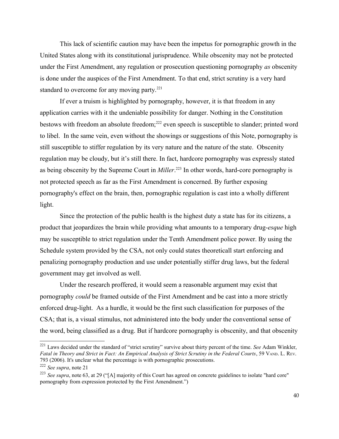This lack of scientific caution may have been the impetus for pornographic growth in the United States along with its constitutional jurisprudence. While obscenity may not be protected under the First Amendment, any regulation or prosecution questioning pornography *as* obscenity is done under the auspices of the First Amendment. To that end, strict scrutiny is a very hard standard to overcome for any moving party. $221$ 

If ever a truism is highlighted by pornography, however, it is that freedom in any application carries with it the undeniable possibility for danger. Nothing in the Constitution bestows with freedom an absolute freedom;<sup>[222](#page-39-1)</sup> even speech is susceptible to slander; printed word to libel. In the same vein, even without the showings or suggestions of this Note, pornography is still susceptible to stiffer regulation by its very nature and the nature of the state. Obscenity regulation may be cloudy, but it's still there. In fact, hardcore pornography was expressly stated as being obscenity by the Supreme Court in *Miller*. [223](#page-39-2) In other words, hard-core pornography is not protected speech as far as the First Amendment is concerned. By further exposing pornography's effect on the brain, then, pornographic regulation is cast into a wholly different light.

Since the protection of the public health is the highest duty a state has for its citizens, a product that jeopardizes the brain while providing what amounts to a temporary drug-*esque* high may be susceptible to strict regulation under the Tenth Amendment police power. By using the Schedule system provided by the CSA, not only could states theoreticall start enforcing and penalizing pornography production and use under potentially stiffer drug laws, but the federal government may get involved as well.

Under the research proffered, it would seem a reasonable argument may exist that pornography *could* be framed outside of the First Amendment and be cast into a more strictly enforced drug-light. As a hurdle, it would be the first such classification for purposes of the CSA; that is, a visual stimulus, not administered into the body under the conventional sense of the word, being classified as a drug. But if hardcore pornography is obscenity, and that obscenity

<span id="page-39-0"></span><sup>221</sup> Laws decided under the standard of "strict scrutiny" survive about thirty percent of the time. *See* Adam Winkler, *Fatal in Theory and Strict in Fact: An Empirical Analysis of Strict Scrutiny in the Federal Courts*, 59 VAND. L. REV. 793 (2006). It's unclear what the percentage is with pornographic prosecutions.

<span id="page-39-1"></span><sup>222</sup> *See supra*, note 21

<span id="page-39-2"></span><sup>223</sup> *See supra*, note 63, at 29 ("[A] majority of this Court has agreed on concrete guidelines to isolate "hard core" pornography from expression protected by the First Amendment.")